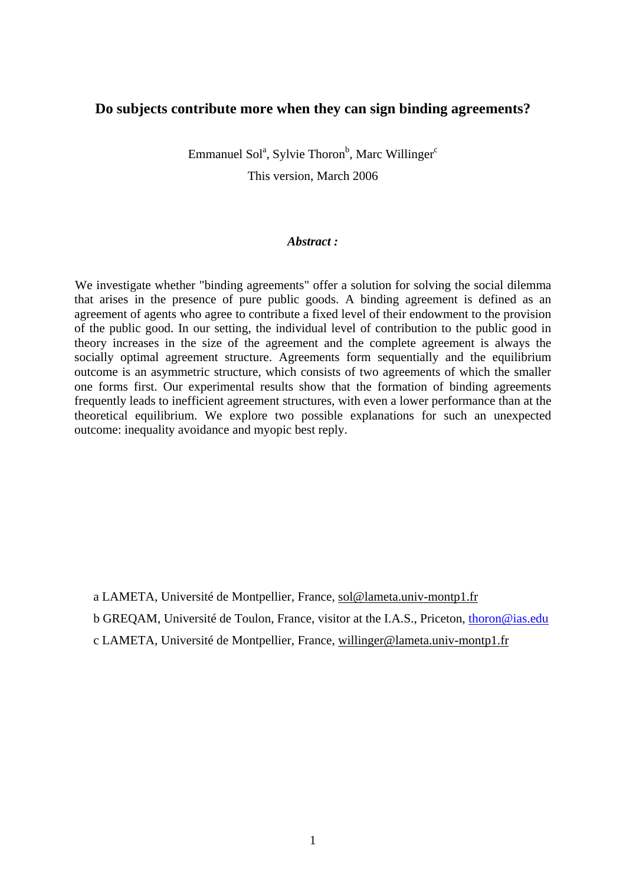# **Do subjects contribute more when they can sign binding agreements?**

Emmanuel Sol<sup>a</sup>, Sylvie Thoron<sup>b</sup>, Marc Willinger<sup>c</sup> This version, March 2006

# *Abstract :*

We investigate whether "binding agreements" offer a solution for solving the social dilemma that arises in the presence of pure public goods. A binding agreement is defined as an agreement of agents who agree to contribute a fixed level of their endowment to the provision of the public good. In our setting, the individual level of contribution to the public good in theory increases in the size of the agreement and the complete agreement is always the socially optimal agreement structure. Agreements form sequentially and the equilibrium outcome is an asymmetric structure, which consists of two agreements of which the smaller one forms first. Our experimental results show that the formation of binding agreements frequently leads to inefficient agreement structures, with even a lower performance than at the theoretical equilibrium. We explore two possible explanations for such an unexpected outcome: inequality avoidance and myopic best reply.

a LAMETA, Université de Montpellier, France, [sol@lameta.univ-montp1.fr](mailto:sol@lameta.univ-montp1.fr)

b GREQAM, Université de Toulon, France, visitor at the I.A.S., Priceton, [thoron@ias.edu](mailto:thoron@ias.edu)

c LAMETA, Université de Montpellier, France, [willinger@lameta.univ-montp1.fr](mailto:willinger@lameta.univ-montp1.fr)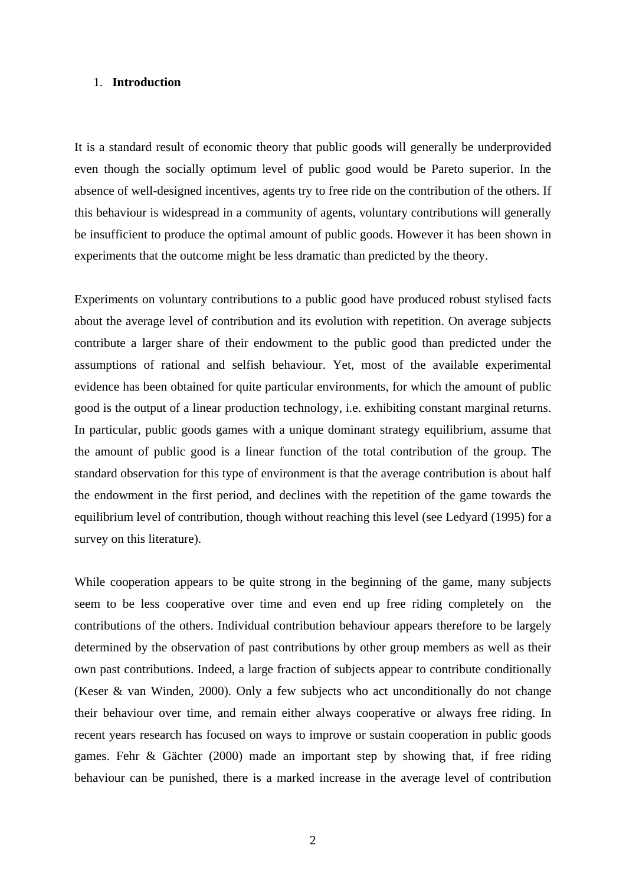## 1. **Introduction**

It is a standard result of economic theory that public goods will generally be underprovided even though the socially optimum level of public good would be Pareto superior. In the absence of well-designed incentives, agents try to free ride on the contribution of the others. If this behaviour is widespread in a community of agents, voluntary contributions will generally be insufficient to produce the optimal amount of public goods. However it has been shown in experiments that the outcome might be less dramatic than predicted by the theory.

Experiments on voluntary contributions to a public good have produced robust stylised facts about the average level of contribution and its evolution with repetition. On average subjects contribute a larger share of their endowment to the public good than predicted under the assumptions of rational and selfish behaviour. Yet, most of the available experimental evidence has been obtained for quite particular environments, for which the amount of public good is the output of a linear production technology, i.e. exhibiting constant marginal returns. In particular, public goods games with a unique dominant strategy equilibrium, assume that the amount of public good is a linear function of the total contribution of the group. The standard observation for this type of environment is that the average contribution is about half the endowment in the first period, and declines with the repetition of the game towards the equilibrium level of contribution, though without reaching this level (see Ledyard (1995) for a survey on this literature).

While cooperation appears to be quite strong in the beginning of the game, many subjects seem to be less cooperative over time and even end up free riding completely on the contributions of the others. Individual contribution behaviour appears therefore to be largely determined by the observation of past contributions by other group members as well as their own past contributions. Indeed, a large fraction of subjects appear to contribute conditionally (Keser & van Winden, 2000). Only a few subjects who act unconditionally do not change their behaviour over time, and remain either always cooperative or always free riding. In recent years research has focused on ways to improve or sustain cooperation in public goods games. Fehr & Gächter (2000) made an important step by showing that, if free riding behaviour can be punished, there is a marked increase in the average level of contribution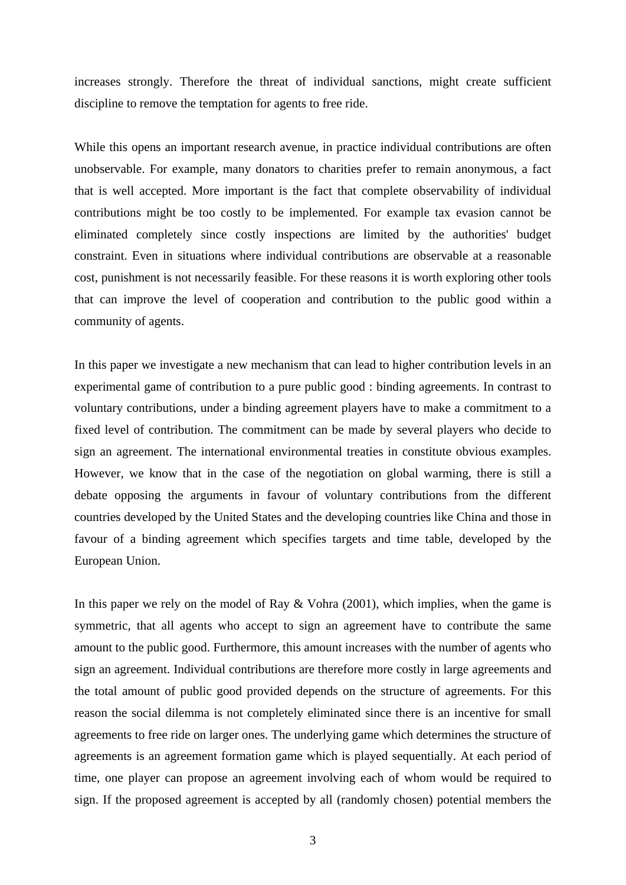increases strongly. Therefore the threat of individual sanctions, might create sufficient discipline to remove the temptation for agents to free ride.

While this opens an important research avenue, in practice individual contributions are often unobservable. For example, many donators to charities prefer to remain anonymous, a fact that is well accepted. More important is the fact that complete observability of individual contributions might be too costly to be implemented. For example tax evasion cannot be eliminated completely since costly inspections are limited by the authorities' budget constraint. Even in situations where individual contributions are observable at a reasonable cost, punishment is not necessarily feasible. For these reasons it is worth exploring other tools that can improve the level of cooperation and contribution to the public good within a community of agents.

In this paper we investigate a new mechanism that can lead to higher contribution levels in an experimental game of contribution to a pure public good : binding agreements. In contrast to voluntary contributions, under a binding agreement players have to make a commitment to a fixed level of contribution. The commitment can be made by several players who decide to sign an agreement. The international environmental treaties in constitute obvious examples. However, we know that in the case of the negotiation on global warming, there is still a debate opposing the arguments in favour of voluntary contributions from the different countries developed by the United States and the developing countries like China and those in favour of a binding agreement which specifies targets and time table, developed by the European Union.

In this paper we rely on the model of Ray & Vohra (2001), which implies, when the game is symmetric, that all agents who accept to sign an agreement have to contribute the same amount to the public good. Furthermore, this amount increases with the number of agents who sign an agreement. Individual contributions are therefore more costly in large agreements and the total amount of public good provided depends on the structure of agreements. For this reason the social dilemma is not completely eliminated since there is an incentive for small agreements to free ride on larger ones. The underlying game which determines the structure of agreements is an agreement formation game which is played sequentially. At each period of time, one player can propose an agreement involving each of whom would be required to sign. If the proposed agreement is accepted by all (randomly chosen) potential members the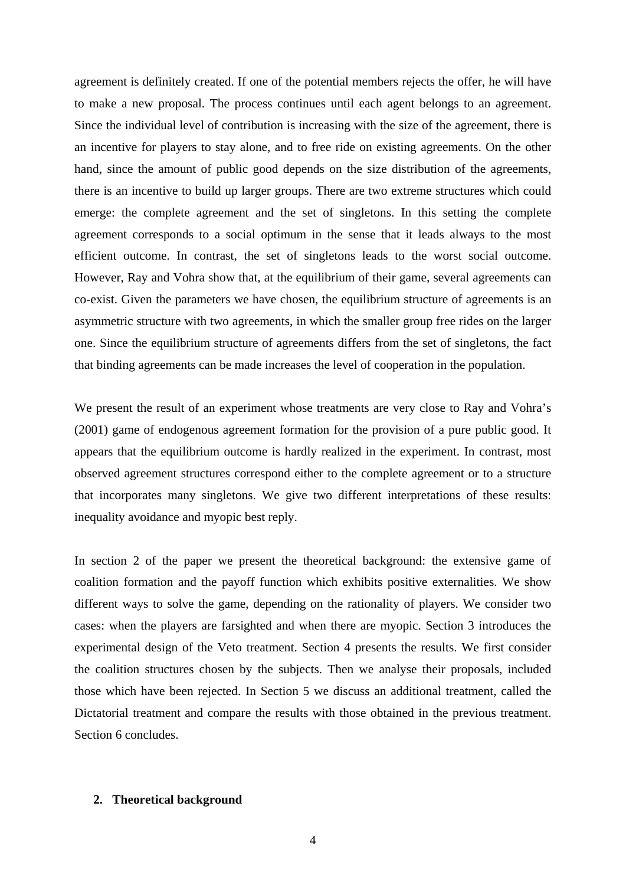agreement is definitely created. If one of the potential members rejects the offer, he will have to make a new proposal. The process continues until each agent belongs to an agreement. Since the individual level of contribution is increasing with the size of the agreement, there is an incentive for players to stay alone, and to free ride on existing agreements. On the other hand, since the amount of public good depends on the size distribution of the agreements, there is an incentive to build up larger groups. There are two extreme structures which could emerge: the complete agreement and the set of singletons. In this setting the complete agreement corresponds to a social optimum in the sense that it leads always to the most efficient outcome. In contrast, the set of singletons leads to the worst social outcome. However, Ray and Vohra show that, at the equilibrium of their game, several agreements can co-exist. Given the parameters we have chosen, the equilibrium structure of agreements is an asymmetric structure with two agreements, in which the smaller group free rides on the larger one. Since the equilibrium structure of agreements differs from the set of singletons, the fact that binding agreements can be made increases the level of cooperation in the population.

We present the result of an experiment whose treatments are very close to Ray and Vohra's (2001) game of endogenous agreement formation for the provision of a pure public good. It appears that the equilibrium outcome is hardly realized in the experiment. In contrast, most observed agreement structures correspond either to the complete agreement or to a structure that incorporates many singletons. We give two different interpretations of these results: inequality avoidance and myopic best reply.

In section 2 of the paper we present the theoretical background: the extensive game of coalition formation and the payoff function which exhibits positive externalities. We show different ways to solve the game, depending on the rationality of players. We consider two cases: when the players are farsighted and when there are myopic. Section 3 introduces the experimental design of the Veto treatment. Section 4 presents the results. We first consider the coalition structures chosen by the subjects. Then we analyse their proposals, included those which have been rejected. In Section 5 we discuss an additional treatment, called the Dictatorial treatment and compare the results with those obtained in the previous treatment. Section 6 concludes.

#### **2. Theoretical background**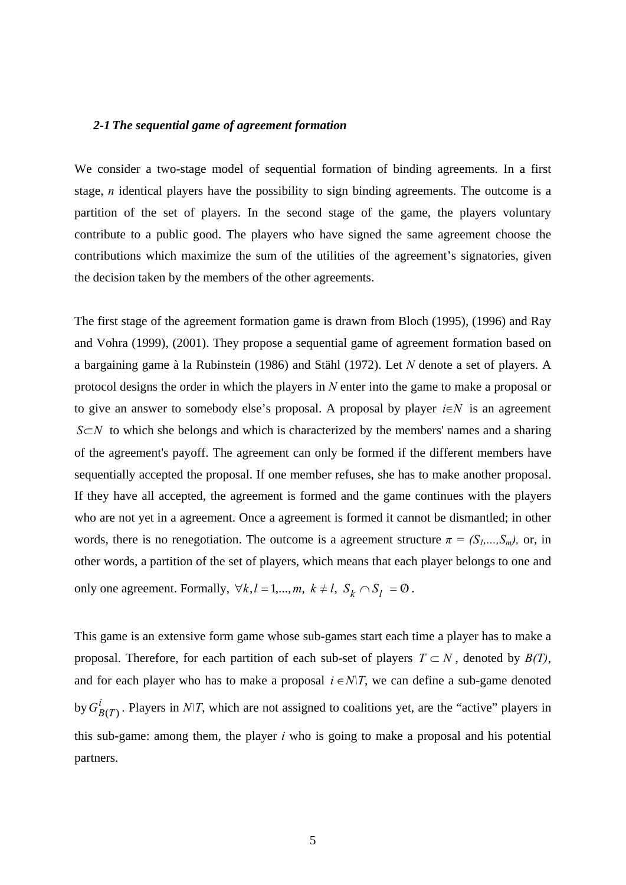# *2-1 The sequential game of agreement formation*

We consider a two-stage model of sequential formation of binding agreements. In a first stage, *n* identical players have the possibility to sign binding agreements. The outcome is a partition of the set of players. In the second stage of the game, the players voluntary contribute to a public good. The players who have signed the same agreement choose the contributions which maximize the sum of the utilities of the agreement's signatories, given the decision taken by the members of the other agreements.

The first stage of the agreement formation game is drawn from Bloch (1995), (1996) and Ray and Vohra (1999), (2001). They propose a sequential game of agreement formation based on a bargaining game à la Rubinstein (1986) and Stähl (1972). Let *N* denote a set of players. A protocol designs the order in which the players in *N* enter into the game to make a proposal or to give an answer to somebody else's proposal. A proposal by player *i*∈*N* is an agreement *S*⊂*N* to which she belongs and which is characterized by the members' names and a sharing of the agreement's payoff. The agreement can only be formed if the different members have sequentially accepted the proposal. If one member refuses, she has to make another proposal. If they have all accepted, the agreement is formed and the game continues with the players who are not yet in a agreement. Once a agreement is formed it cannot be dismantled; in other words, there is no renegotiation. The outcome is a agreement structure  $\pi = (S_1, ..., S_m)$ , or, in other words, a partition of the set of players, which means that each player belongs to one and only one agreement. Formally,  $\forall k, l = 1,...,m, k \neq l, S_k \cap S_l = \emptyset$ .

This game is an extensive form game whose sub-games start each time a player has to make a proposal. Therefore, for each partition of each sub-set of players  $T \subset N$ , denoted by  $B(T)$ , and for each player who has to make a proposal  $i \in N/T$ , we can define a sub-game denoted by  $G_{B(T)}^i$ . Players in *N\T*, which are not assigned to coalitions yet, are the "active" players in this sub-game: among them, the player *i* who is going to make a proposal and his potential partners.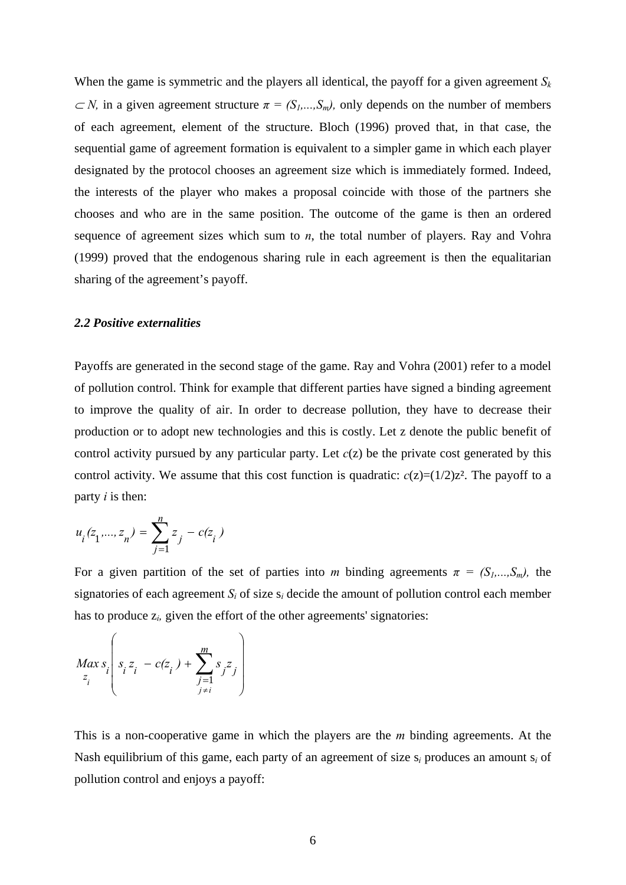When the game is symmetric and the players all identical, the payoff for a given agreement  $S_k$  $\subset N$ , in a given agreement structure  $\pi = (S_1, ..., S_m)$ , only depends on the number of members of each agreement, element of the structure. Bloch (1996) proved that, in that case, the sequential game of agreement formation is equivalent to a simpler game in which each player designated by the protocol chooses an agreement size which is immediately formed. Indeed, the interests of the player who makes a proposal coincide with those of the partners she chooses and who are in the same position. The outcome of the game is then an ordered sequence of agreement sizes which sum to *n*, the total number of players. Ray and Vohra (1999) proved that the endogenous sharing rule in each agreement is then the equalitarian sharing of the agreement's payoff.

#### *2.2 Positive externalities*

Payoffs are generated in the second stage of the game. Ray and Vohra (2001) refer to a model of pollution control. Think for example that different parties have signed a binding agreement to improve the quality of air. In order to decrease pollution, they have to decrease their production or to adopt new technologies and this is costly. Let z denote the public benefit of control activity pursued by any particular party. Let  $c(z)$  be the private cost generated by this control activity. We assume that this cost function is quadratic:  $c(z)=(1/2)z^2$ . The payoff to a party *i* is then:

$$
u_i(z_1,...,z_n) = \sum_{j=1}^n z_j - c(z_i)
$$

For a given partition of the set of parties into *m* binding agreements  $\pi = (S_1, ..., S_m)$ , the signatories of each agreement  $S_i$  of size  $s_i$  decide the amount of pollution control each member has to produce z*i,* given the effort of the other agreements' signatories:

$$
Max_{z_i} s_i \left( s_i z_i - c(z_i) + \sum_{\substack{j=1 \ j \neq i}}^m s_j z_j \right)
$$

This is a non-cooperative game in which the players are the *m* binding agreements. At the Nash equilibrium of this game, each party of an agreement of size s*i* produces an amount s*i* of pollution control and enjoys a payoff: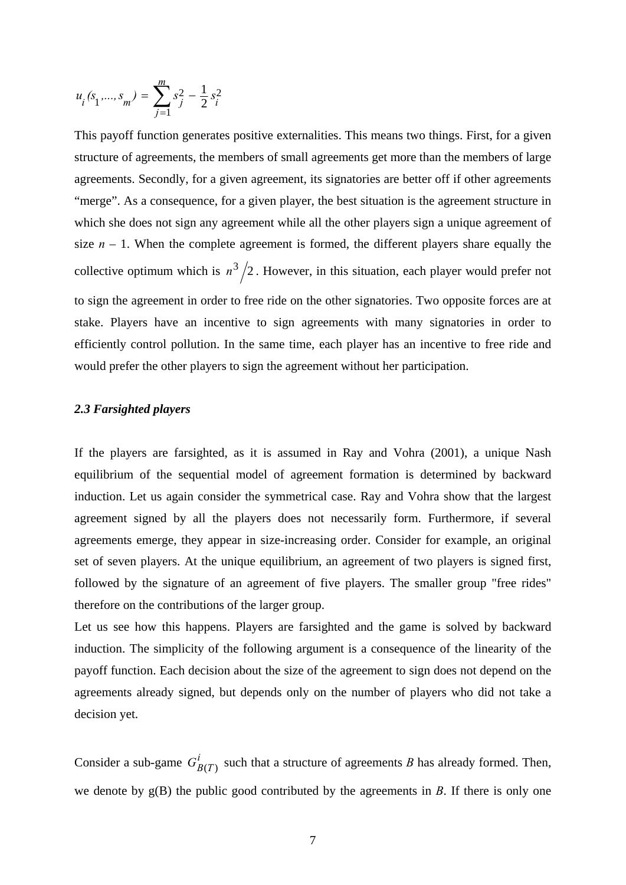$$
u_i(s_1, ..., s_m) = \sum_{j=1}^m s_j^2 - \frac{1}{2} s_i^2
$$

This payoff function generates positive externalities. This means two things. First, for a given structure of agreements, the members of small agreements get more than the members of large agreements. Secondly, for a given agreement, its signatories are better off if other agreements "merge". As a consequence, for a given player, the best situation is the agreement structure in which she does not sign any agreement while all the other players sign a unique agreement of size  $n - 1$ . When the complete agreement is formed, the different players share equally the collective optimum which is  $n^3/2$ . However, in this situation, each player would prefer not to sign the agreement in order to free ride on the other signatories. Two opposite forces are at stake. Players have an incentive to sign agreements with many signatories in order to efficiently control pollution. In the same time, each player has an incentive to free ride and would prefer the other players to sign the agreement without her participation.

#### *2.3 Farsighted players*

If the players are farsighted, as it is assumed in Ray and Vohra (2001), a unique Nash equilibrium of the sequential model of agreement formation is determined by backward induction. Let us again consider the symmetrical case. Ray and Vohra show that the largest agreement signed by all the players does not necessarily form. Furthermore, if several agreements emerge, they appear in size-increasing order. Consider for example, an original set of seven players. At the unique equilibrium, an agreement of two players is signed first, followed by the signature of an agreement of five players. The smaller group "free rides" therefore on the contributions of the larger group.

Let us see how this happens. Players are farsighted and the game is solved by backward induction. The simplicity of the following argument is a consequence of the linearity of the payoff function. Each decision about the size of the agreement to sign does not depend on the agreements already signed, but depends only on the number of players who did not take a decision yet.

Consider a sub-game  $G_{B(T)}^i$  such that a structure of agreements *B* has already formed. Then, we denote by g(B) the public good contributed by the agreements in *B*. If there is only one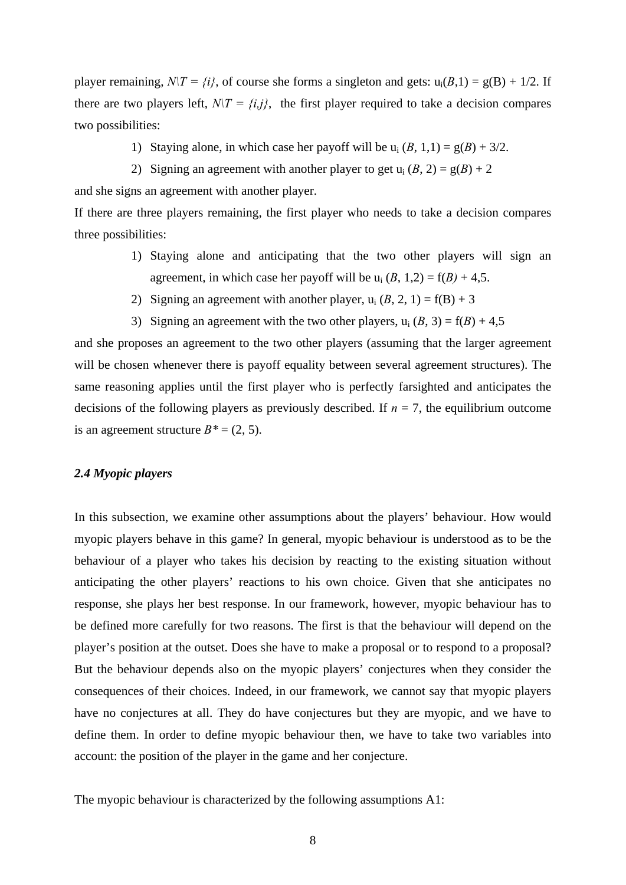player remaining,  $N/T = \{i\}$ , of course she forms a singleton and gets:  $u_i(B,1) = g(B) + 1/2$ . If there are two players left,  $N/T = \{i, j\}$ , the first player required to take a decision compares two possibilities:

- 1) Staying alone, in which case her payoff will be  $u_i (B, 1, 1) = g(B) + 3/2$ .
- 2) Signing an agreement with another player to get  $u_i (B, 2) = g(B) + 2$

and she signs an agreement with another player.

If there are three players remaining, the first player who needs to take a decision compares three possibilities:

- 1) Staying alone and anticipating that the two other players will sign an agreement, in which case her payoff will be  $u_i$  (*B*, 1,2) = f(*B*) + 4,5.
- 2) Signing an agreement with another player,  $u_i (B, 2, 1) = f(B) + 3$
- 3) Signing an agreement with the two other players,  $u_i (B, 3) = f(B) + 4.5$

and she proposes an agreement to the two other players (assuming that the larger agreement will be chosen whenever there is payoff equality between several agreement structures). The same reasoning applies until the first player who is perfectly farsighted and anticipates the decisions of the following players as previously described. If  $n = 7$ , the equilibrium outcome is an agreement structure  $B^* = (2, 5)$ .

## *2.4 Myopic players*

In this subsection, we examine other assumptions about the players' behaviour. How would myopic players behave in this game? In general, myopic behaviour is understood as to be the behaviour of a player who takes his decision by reacting to the existing situation without anticipating the other players' reactions to his own choice. Given that she anticipates no response, she plays her best response. In our framework, however, myopic behaviour has to be defined more carefully for two reasons. The first is that the behaviour will depend on the player's position at the outset. Does she have to make a proposal or to respond to a proposal? But the behaviour depends also on the myopic players' conjectures when they consider the consequences of their choices. Indeed, in our framework, we cannot say that myopic players have no conjectures at all. They do have conjectures but they are myopic, and we have to define them. In order to define myopic behaviour then, we have to take two variables into account: the position of the player in the game and her conjecture.

The myopic behaviour is characterized by the following assumptions A1: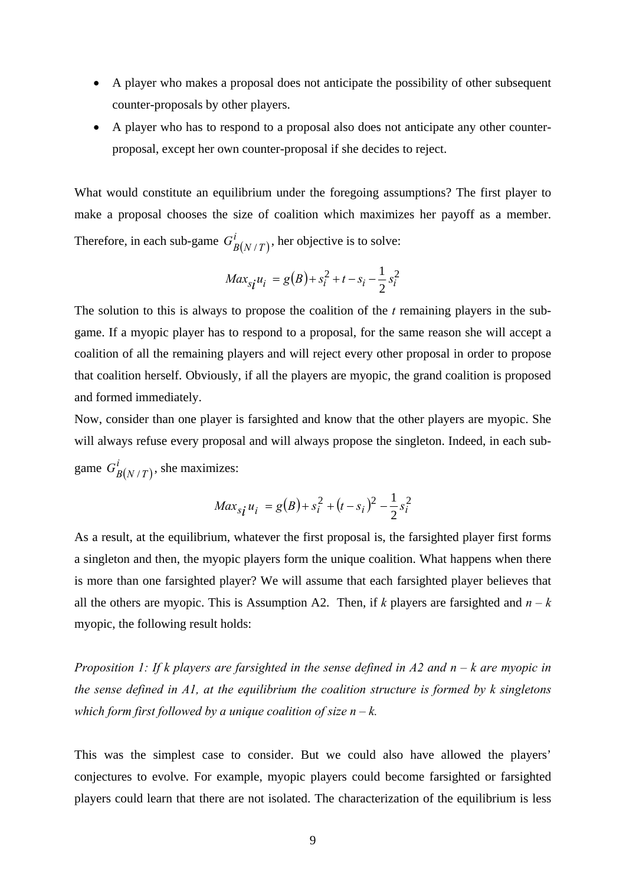- A player who makes a proposal does not anticipate the possibility of other subsequent counter-proposals by other players.
- A player who has to respond to a proposal also does not anticipate any other counterproposal, except her own counter-proposal if she decides to reject.

What would constitute an equilibrium under the foregoing assumptions? The first player to make a proposal chooses the size of coalition which maximizes her payoff as a member. Therefore, in each sub-game  $G_{B(N/T)}^i$ , her objective is to solve:

$$
Max_{si}u_i = g(B) + s_i^2 + t - s_i - \frac{1}{2}s_i^2
$$

The solution to this is always to propose the coalition of the *t* remaining players in the subgame. If a myopic player has to respond to a proposal, for the same reason she will accept a coalition of all the remaining players and will reject every other proposal in order to propose that coalition herself. Obviously, if all the players are myopic, the grand coalition is proposed and formed immediately.

Now, consider than one player is farsighted and know that the other players are myopic. She will always refuse every proposal and will always propose the singleton. Indeed, in each subgame  $G_{B(N/T)}^i$ , she maximizes:

$$
Max_{s_{\mathbf{i}}} u_{i} = g(B) + s_{i}^{2} + (t - s_{i})^{2} - \frac{1}{2} s_{i}^{2}
$$

As a result, at the equilibrium, whatever the first proposal is, the farsighted player first forms a singleton and then, the myopic players form the unique coalition. What happens when there is more than one farsighted player? We will assume that each farsighted player believes that all the others are myopic. This is Assumption A2. Then, if *k* players are farsighted and  $n - k$ myopic, the following result holds:

*Proposition 1: If k players are farsighted in the sense defined in A2 and n – k are myopic in the sense defined in A1, at the equilibrium the coalition structure is formed by k singletons which form first followed by a unique coalition of size*  $n - k$ *.* 

This was the simplest case to consider. But we could also have allowed the players' conjectures to evolve. For example, myopic players could become farsighted or farsighted players could learn that there are not isolated. The characterization of the equilibrium is less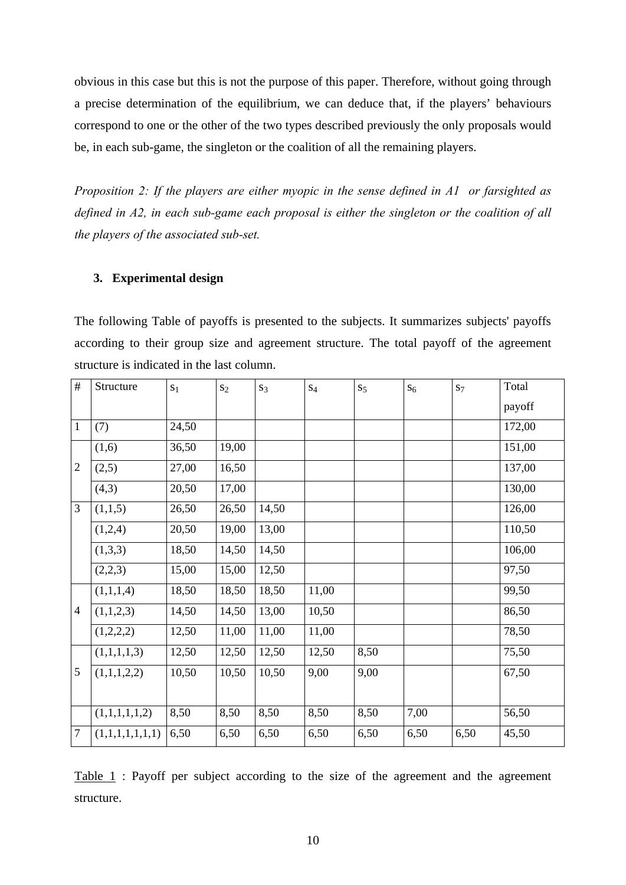obvious in this case but this is not the purpose of this paper. Therefore, without going through a precise determination of the equilibrium, we can deduce that, if the players' behaviours correspond to one or the other of the two types described previously the only proposals would be, in each sub-game, the singleton or the coalition of all the remaining players.

*Proposition 2: If the players are either myopic in the sense defined in A1 or farsighted as defined in A2, in each sub-game each proposal is either the singleton or the coalition of all the players of the associated sub-set.* 

# **3. Experimental design**

The following Table of payoffs is presented to the subjects. It summarizes subjects' payoffs according to their group size and agreement structure. The total payoff of the agreement structure is indicated in the last column.

| #              | Structure       | S <sub>1</sub> | $S_2$ | $S_3$ | $S_4$ | S <sub>5</sub> | $S_6$ | $S_7$ | Total  |
|----------------|-----------------|----------------|-------|-------|-------|----------------|-------|-------|--------|
|                |                 |                |       |       |       |                |       |       | payoff |
| $\mathbf{1}$   | (7)             | 24,50          |       |       |       |                |       |       | 172,00 |
|                | (1,6)           | 36,50          | 19,00 |       |       |                |       |       | 151,00 |
| $\overline{2}$ | (2,5)           | 27,00          | 16,50 |       |       |                |       |       | 137,00 |
|                | (4,3)           | 20,50          | 17,00 |       |       |                |       |       | 130,00 |
| 3              | (1,1,5)         | 26,50          | 26,50 | 14,50 |       |                |       |       | 126,00 |
|                | (1,2,4)         | 20,50          | 19,00 | 13,00 |       |                |       |       | 110,50 |
|                | (1,3,3)         | 18,50          | 14,50 | 14,50 |       |                |       |       | 106,00 |
|                | (2,2,3)         | 15,00          | 15,00 | 12,50 |       |                |       |       | 97,50  |
|                | (1,1,1,4)       | 18,50          | 18,50 | 18,50 | 11,00 |                |       |       | 99,50  |
| $\overline{4}$ | (1,1,2,3)       | 14,50          | 14,50 | 13,00 | 10,50 |                |       |       | 86,50  |
|                | (1,2,2,2)       | 12,50          | 11,00 | 11,00 | 11,00 |                |       |       | 78,50  |
|                | (1,1,1,1,3)     | 12,50          | 12,50 | 12,50 | 12,50 | 8,50           |       |       | 75,50  |
| 5              | (1,1,1,2,2)     | 10,50          | 10,50 | 10,50 | 9,00  | 9,00           |       |       | 67,50  |
|                |                 |                |       |       |       |                |       |       |        |
|                | (1,1,1,1,1,2)   | 8,50           | 8,50  | 8,50  | 8,50  | 8,50           | 7,00  |       | 56,50  |
| $\tau$         | (1,1,1,1,1,1,1) | 6,50           | 6,50  | 6,50  | 6,50  | 6,50           | 6,50  | 6,50  | 45,50  |

Table 1 : Payoff per subject according to the size of the agreement and the agreement structure.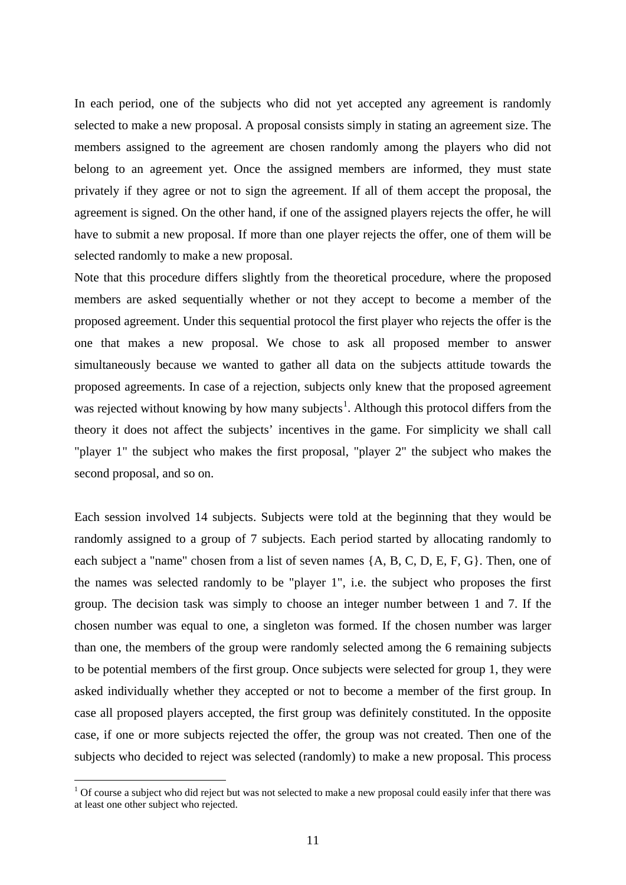In each period, one of the subjects who did not yet accepted any agreement is randomly selected to make a new proposal. A proposal consists simply in stating an agreement size. The members assigned to the agreement are chosen randomly among the players who did not belong to an agreement yet. Once the assigned members are informed, they must state privately if they agree or not to sign the agreement. If all of them accept the proposal, the agreement is signed. On the other hand, if one of the assigned players rejects the offer, he will have to submit a new proposal. If more than one player rejects the offer, one of them will be selected randomly to make a new proposal.

Note that this procedure differs slightly from the theoretical procedure, where the proposed members are asked sequentially whether or not they accept to become a member of the proposed agreement. Under this sequential protocol the first player who rejects the offer is the one that makes a new proposal. We chose to ask all proposed member to answer simultaneously because we wanted to gather all data on the subjects attitude towards the proposed agreements. In case of a rejection, subjects only knew that the proposed agreement was rejected without knowing by how many subjects<sup>[1](#page-10-0)</sup>. Although this protocol differs from the theory it does not affect the subjects' incentives in the game. For simplicity we shall call "player 1" the subject who makes the first proposal, "player 2" the subject who makes the second proposal, and so on.

Each session involved 14 subjects. Subjects were told at the beginning that they would be randomly assigned to a group of 7 subjects. Each period started by allocating randomly to each subject a "name" chosen from a list of seven names {A, B, C, D, E, F, G}. Then, one of the names was selected randomly to be "player 1", i.e. the subject who proposes the first group. The decision task was simply to choose an integer number between 1 and 7. If the chosen number was equal to one, a singleton was formed. If the chosen number was larger than one, the members of the group were randomly selected among the 6 remaining subjects to be potential members of the first group. Once subjects were selected for group 1, they were asked individually whether they accepted or not to become a member of the first group. In case all proposed players accepted, the first group was definitely constituted. In the opposite case, if one or more subjects rejected the offer, the group was not created. Then one of the subjects who decided to reject was selected (randomly) to make a new proposal. This process

1

<span id="page-10-0"></span><sup>&</sup>lt;sup>1</sup> Of course a subject who did reject but was not selected to make a new proposal could easily infer that there was at least one other subject who rejected.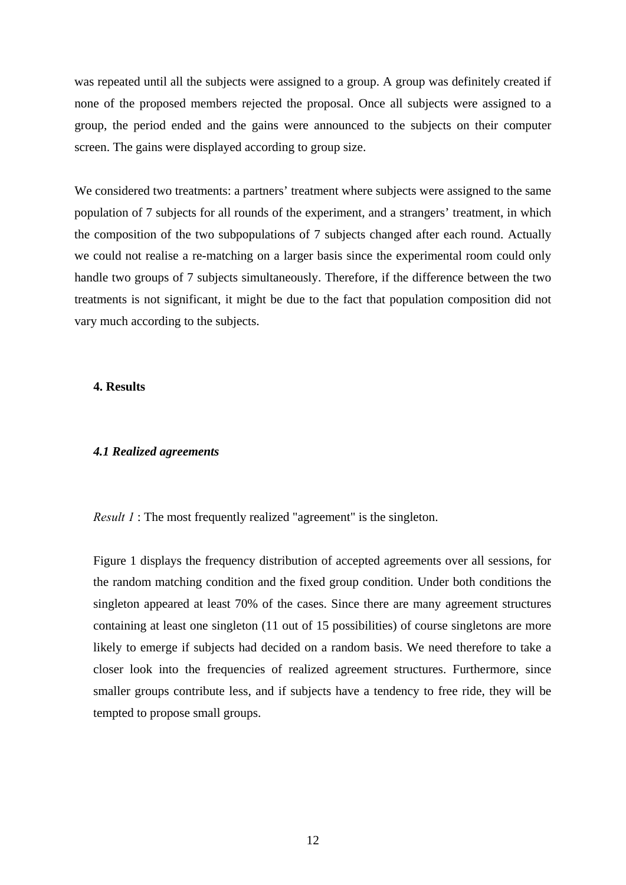was repeated until all the subjects were assigned to a group. A group was definitely created if none of the proposed members rejected the proposal. Once all subjects were assigned to a group, the period ended and the gains were announced to the subjects on their computer screen. The gains were displayed according to group size.

We considered two treatments: a partners' treatment where subjects were assigned to the same population of 7 subjects for all rounds of the experiment, and a strangers' treatment, in which the composition of the two subpopulations of 7 subjects changed after each round. Actually we could not realise a re-matching on a larger basis since the experimental room could only handle two groups of 7 subjects simultaneously. Therefore, if the difference between the two treatments is not significant, it might be due to the fact that population composition did not vary much according to the subjects.

# **4. Results**

#### *4.1 Realized agreements*

*Result 1* : The most frequently realized "agreement" is the singleton.

Figure 1 displays the frequency distribution of accepted agreements over all sessions, for the random matching condition and the fixed group condition. Under both conditions the singleton appeared at least 70% of the cases. Since there are many agreement structures containing at least one singleton (11 out of 15 possibilities) of course singletons are more likely to emerge if subjects had decided on a random basis. We need therefore to take a closer look into the frequencies of realized agreement structures. Furthermore, since smaller groups contribute less, and if subjects have a tendency to free ride, they will be tempted to propose small groups.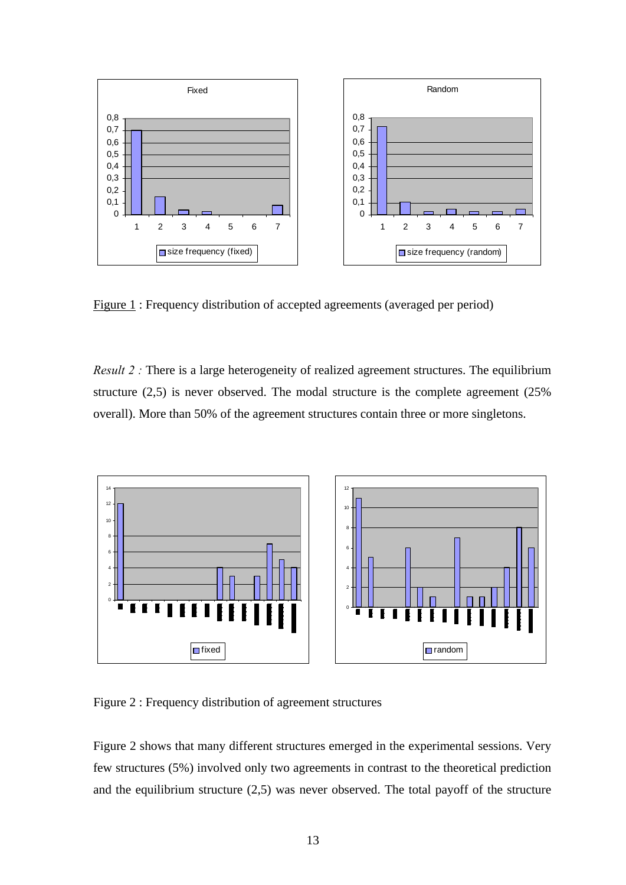

Figure 1 : Frequency distribution of accepted agreements (averaged per period)

*Result 2 :* There is a large heterogeneity of realized agreement structures. The equilibrium structure (2,5) is never observed. The modal structure is the complete agreement (25% overall). More than 50% of the agreement structures contain three or more singletons.



Figure 2 : Frequency distribution of agreement structures

Figure 2 shows that many different structures emerged in the experimental sessions. Very few structures (5%) involved only two agreements in contrast to the theoretical prediction and the equilibrium structure (2,5) was never observed. The total payoff of the structure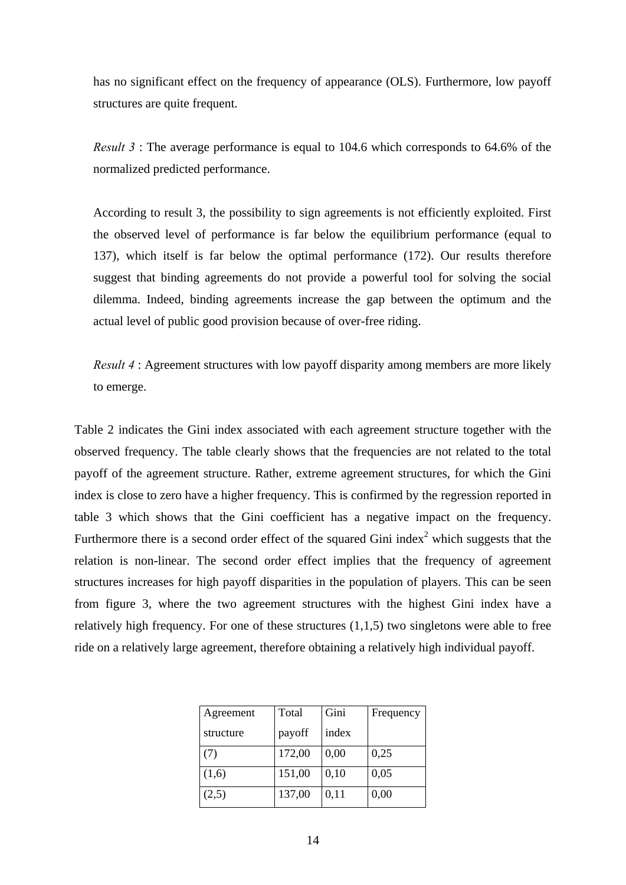has no significant effect on the frequency of appearance (OLS). Furthermore, low payoff structures are quite frequent.

*Result 3* : The average performance is equal to 104.6 which corresponds to 64.6% of the normalized predicted performance.

According to result 3, the possibility to sign agreements is not efficiently exploited. First the observed level of performance is far below the equilibrium performance (equal to 137), which itself is far below the optimal performance (172). Our results therefore suggest that binding agreements do not provide a powerful tool for solving the social dilemma. Indeed, binding agreements increase the gap between the optimum and the actual level of public good provision because of over-free riding.

*Result 4* : Agreement structures with low payoff disparity among members are more likely to emerge.

Table 2 indicates the Gini index associated with each agreement structure together with the observed frequency. The table clearly shows that the frequencies are not related to the total payoff of the agreement structure. Rather, extreme agreement structures, for which the Gini index is close to zero have a higher frequency. This is confirmed by the regression reported in table 3 which shows that the Gini coefficient has a negative impact on the frequency. Furthermore there is a second order effect of the squared Gini index<sup>2</sup> which suggests that the relation is non-linear. The second order effect implies that the frequency of agreement structures increases for high payoff disparities in the population of players. This can be seen from figure 3, where the two agreement structures with the highest Gini index have a relatively high frequency. For one of these structures  $(1,1,5)$  two singletons were able to free ride on a relatively large agreement, therefore obtaining a relatively high individual payoff.

| Agreement | Total  | Gini  | Frequency |
|-----------|--------|-------|-----------|
| structure | payoff | index |           |
| (7)       | 172,00 | 0,00  | 0,25      |
| (1,6)     | 151,00 | 0,10  | 0,05      |
| (2,5)     | 137,00 | 0,11  | 0,00      |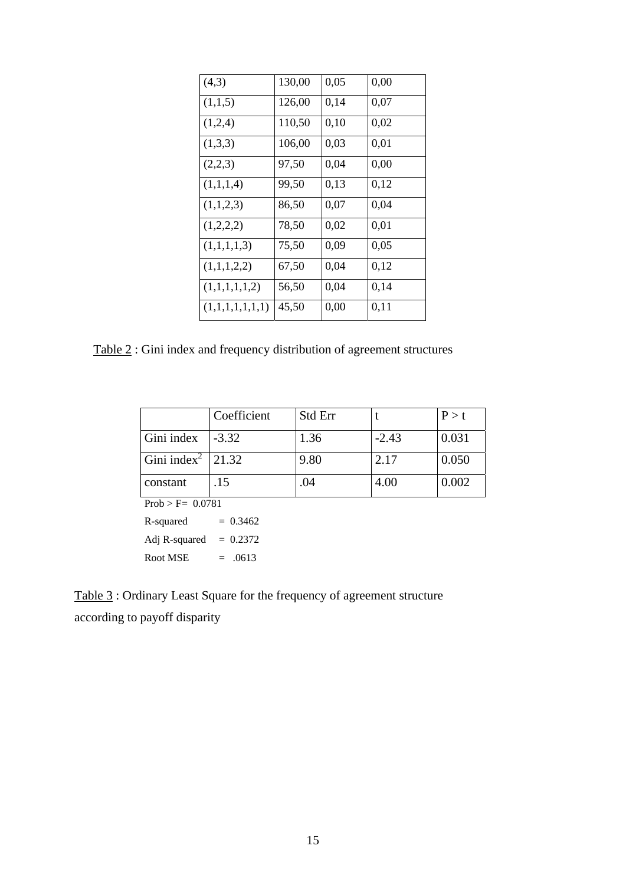| (4,3)           | 130,00 | 0,05 | 0,00 |
|-----------------|--------|------|------|
| (1,1,5)         | 126,00 | 0,14 | 0,07 |
| (1,2,4)         | 110,50 | 0,10 | 0,02 |
| (1,3,3)         | 106,00 | 0,03 | 0,01 |
| (2,2,3)         | 97,50  | 0,04 | 0,00 |
| (1,1,1,4)       | 99,50  | 0,13 | 0,12 |
| (1,1,2,3)       | 86,50  | 0,07 | 0,04 |
| (1,2,2,2)       | 78,50  | 0,02 | 0,01 |
| (1,1,1,1,3)     | 75,50  | 0,09 | 0,05 |
| (1,1,1,2,2)     | 67,50  | 0,04 | 0,12 |
| (1,1,1,1,1,2)   | 56,50  | 0,04 | 0,14 |
| (1,1,1,1,1,1,1) | 45,50  | 0,00 | 0,11 |

Table 2 : Gini index and frequency distribution of agreement structures

|                                 | Coefficient | Std Err |         | P > t |  |  |  |  |
|---------------------------------|-------------|---------|---------|-------|--|--|--|--|
| Gini index                      | $-3.32$     | 1.36    | $-2.43$ | 0.031 |  |  |  |  |
| Gini index <sup>2</sup>   21.32 |             | 9.80    | 2.17    | 0.050 |  |  |  |  |
| constant                        | .15         | .04     | 4.00    | 0.002 |  |  |  |  |
| $Prob > F = 0.0781$             |             |         |         |       |  |  |  |  |

 $R$ -squared  $= 0.3462$ Adj R-squared  $= 0.2372$ Root MSE  $= .0613$ 

Table 3 : Ordinary Least Square for the frequency of agreement structure according to payoff disparity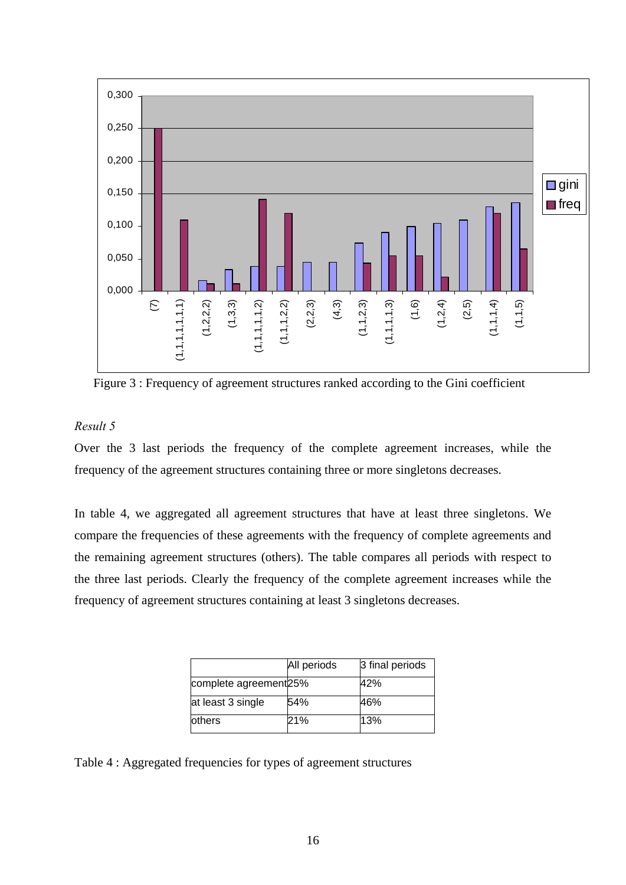

Figure 3 : Frequency of agreement structures ranked according to the Gini coefficient

# *Result 5*

Over the 3 last periods the frequency of the complete agreement increases, while the frequency of the agreement structures containing three or more singletons decreases.

In table 4, we aggregated all agreement structures that have at least three singletons. We compare the frequencies of these agreements with the frequency of complete agreements and the remaining agreement structures (others). The table compares all periods with respect to the three last periods. Clearly the frequency of the complete agreement increases while the frequency of agreement structures containing at least 3 singletons decreases.

|                       | All periods | 3 final periods |
|-----------------------|-------------|-----------------|
| complete agreement25% |             | 42%             |
| at least 3 single     | 54%         | 46%             |
| others                | 21%         | 13%             |

Table 4 : Aggregated frequencies for types of agreement structures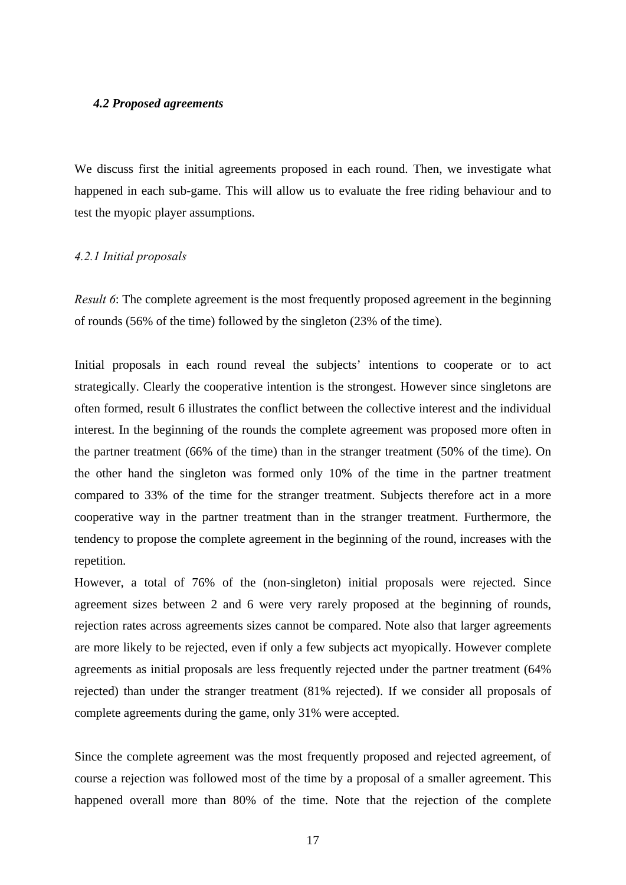#### *4.2 Proposed agreements*

We discuss first the initial agreements proposed in each round. Then, we investigate what happened in each sub-game. This will allow us to evaluate the free riding behaviour and to test the myopic player assumptions.

#### *4.2.1 Initial proposals*

*Result 6*: The complete agreement is the most frequently proposed agreement in the beginning of rounds (56% of the time) followed by the singleton (23% of the time).

Initial proposals in each round reveal the subjects' intentions to cooperate or to act strategically. Clearly the cooperative intention is the strongest. However since singletons are often formed, result 6 illustrates the conflict between the collective interest and the individual interest. In the beginning of the rounds the complete agreement was proposed more often in the partner treatment (66% of the time) than in the stranger treatment (50% of the time). On the other hand the singleton was formed only 10% of the time in the partner treatment compared to 33% of the time for the stranger treatment. Subjects therefore act in a more cooperative way in the partner treatment than in the stranger treatment. Furthermore, the tendency to propose the complete agreement in the beginning of the round, increases with the repetition.

However, a total of 76% of the (non-singleton) initial proposals were rejected. Since agreement sizes between 2 and 6 were very rarely proposed at the beginning of rounds, rejection rates across agreements sizes cannot be compared. Note also that larger agreements are more likely to be rejected, even if only a few subjects act myopically. However complete agreements as initial proposals are less frequently rejected under the partner treatment (64% rejected) than under the stranger treatment (81% rejected). If we consider all proposals of complete agreements during the game, only 31% were accepted.

Since the complete agreement was the most frequently proposed and rejected agreement, of course a rejection was followed most of the time by a proposal of a smaller agreement. This happened overall more than 80% of the time. Note that the rejection of the complete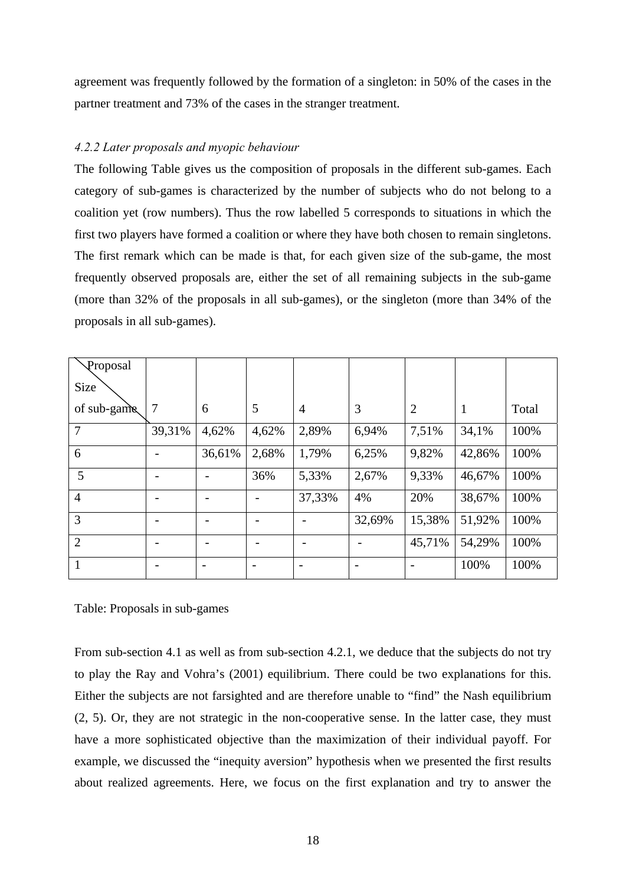agreement was frequently followed by the formation of a singleton: in 50% of the cases in the partner treatment and 73% of the cases in the stranger treatment.

# *4.2.2 Later proposals and myopic behaviour*

The following Table gives us the composition of proposals in the different sub-games. Each category of sub-games is characterized by the number of subjects who do not belong to a coalition yet (row numbers). Thus the row labelled 5 corresponds to situations in which the first two players have formed a coalition or where they have both chosen to remain singletons. The first remark which can be made is that, for each given size of the sub-game, the most frequently observed proposals are, either the set of all remaining subjects in the sub-game (more than 32% of the proposals in all sub-games), or the singleton (more than 34% of the proposals in all sub-games).

| Proposal       |        |        |       |                |        |                |        |       |
|----------------|--------|--------|-------|----------------|--------|----------------|--------|-------|
| Size           |        |        |       |                |        |                |        |       |
| of sub-game    | 7      | 6      | 5     | $\overline{4}$ | 3      | $\overline{2}$ | 1      | Total |
| $\overline{7}$ | 39,31% | 4,62%  | 4,62% | 2,89%          | 6,94%  | 7,51%          | 34,1%  | 100%  |
| 6              |        | 36,61% | 2,68% | 1,79%          | 6,25%  | 9,82%          | 42,86% | 100%  |
| 5              |        |        | 36%   | 5,33%          | 2,67%  | 9,33%          | 46,67% | 100%  |
| $\overline{4}$ |        |        |       | 37,33%         | 4%     | 20%            | 38,67% | 100%  |
| 3              |        |        |       |                | 32,69% | 15,38%         | 51,92% | 100%  |
| $\overline{2}$ |        |        |       |                |        | 45,71%         | 54,29% | 100%  |
|                |        |        |       |                |        |                | 100%   | 100%  |

Table: Proposals in sub-games

From sub-section 4.1 as well as from sub-section 4.2.1, we deduce that the subjects do not try to play the Ray and Vohra's (2001) equilibrium. There could be two explanations for this. Either the subjects are not farsighted and are therefore unable to "find" the Nash equilibrium (2, 5). Or, they are not strategic in the non-cooperative sense. In the latter case, they must have a more sophisticated objective than the maximization of their individual payoff. For example, we discussed the "inequity aversion" hypothesis when we presented the first results about realized agreements. Here, we focus on the first explanation and try to answer the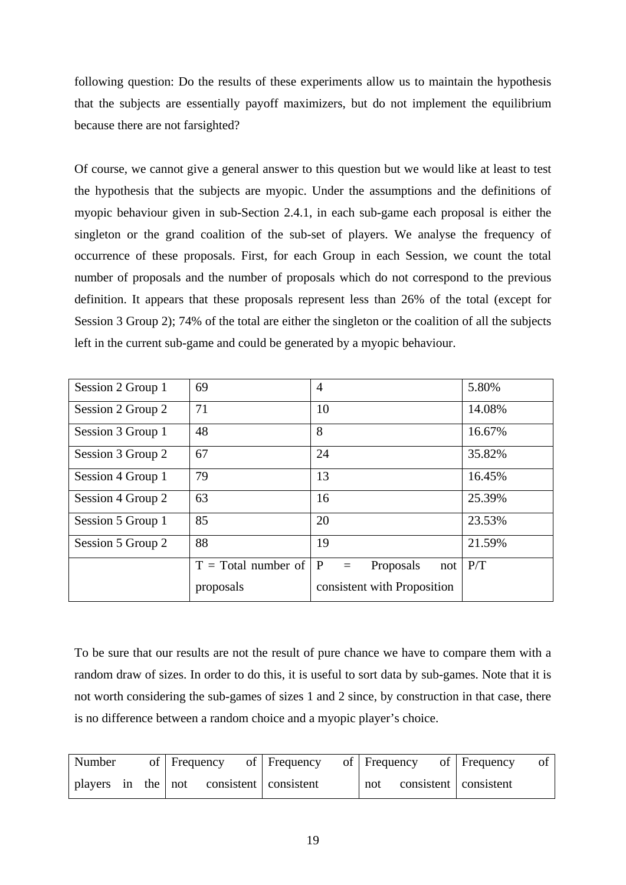following question: Do the results of these experiments allow us to maintain the hypothesis that the subjects are essentially payoff maximizers, but do not implement the equilibrium because there are not farsighted?

Of course, we cannot give a general answer to this question but we would like at least to test the hypothesis that the subjects are myopic. Under the assumptions and the definitions of myopic behaviour given in sub-Section 2.4.1, in each sub-game each proposal is either the singleton or the grand coalition of the sub-set of players. We analyse the frequency of occurrence of these proposals. First, for each Group in each Session, we count the total number of proposals and the number of proposals which do not correspond to the previous definition. It appears that these proposals represent less than 26% of the total (except for Session 3 Group 2); 74% of the total are either the singleton or the coalition of all the subjects left in the current sub-game and could be generated by a myopic behaviour.

| Session 2 Group 1 | 69                    | $\overline{4}$                          | 5.80%  |
|-------------------|-----------------------|-----------------------------------------|--------|
| Session 2 Group 2 | 71                    | 10                                      | 14.08% |
| Session 3 Group 1 | 48                    | 8                                       | 16.67% |
| Session 3 Group 2 | 67                    | 24                                      | 35.82% |
| Session 4 Group 1 | 79                    | 13                                      | 16.45% |
| Session 4 Group 2 | 63                    | 16                                      | 25.39% |
| Session 5 Group 1 | 85                    | 20                                      | 23.53% |
| Session 5 Group 2 | 88                    | 19                                      | 21.59% |
|                   | $T = Total number of$ | <sup>P</sup><br>Proposals<br>not<br>$=$ | P/T    |
|                   | proposals             | consistent with Proposition             |        |

To be sure that our results are not the result of pure chance we have to compare them with a random draw of sizes. In order to do this, it is useful to sort data by sub-games. Note that it is not worth considering the sub-games of sizes 1 and 2 since, by construction in that case, there is no difference between a random choice and a myopic player's choice.

| Number | of Frequency                                 | of Frequency | of Frequency                   | of Frequency |
|--------|----------------------------------------------|--------------|--------------------------------|--------------|
|        | players in the   not consistent   consistent |              | consistent   consistent<br>not |              |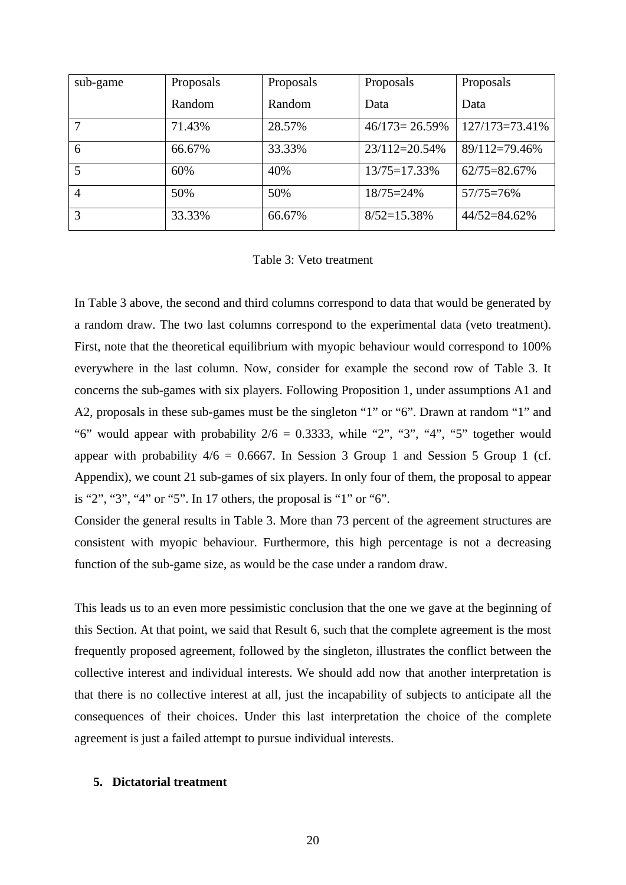| sub-game       | Proposals | Proposals | Proposals          | Proposals      |
|----------------|-----------|-----------|--------------------|----------------|
|                | Random    | Random    | Data               | Data           |
| 7              | 71.43%    | 28.57%    | $46/173 = 26.59\%$ | 127/173=73.41% |
| 6              | 66.67%    | 33.33%    | $23/112=20.54\%$   | 89/112=79.46%  |
|                | 60%       | 40%       | $13/75=17.33%$     | 62/75=82.67%   |
| $\overline{4}$ | 50%       | 50%       | $18/75 = 24\%$     | $57/75=76%$    |
| 3              | 33.33%    | 66.67%    | $8/52=15.38%$      | 44/52=84.62%   |

Table 3: Veto treatment

In Table 3 above, the second and third columns correspond to data that would be generated by a random draw. The two last columns correspond to the experimental data (veto treatment). First, note that the theoretical equilibrium with myopic behaviour would correspond to 100% everywhere in the last column. Now, consider for example the second row of Table 3. It concerns the sub-games with six players. Following Proposition 1, under assumptions A1 and A2, proposals in these sub-games must be the singleton "1" or "6". Drawn at random "1" and "6" would appear with probability  $2/6 = 0.3333$ , while "2", "3", "4", "5" together would appear with probability  $4/6 = 0.6667$ . In Session 3 Group 1 and Session 5 Group 1 (cf. Appendix), we count 21 sub-games of six players. In only four of them, the proposal to appear is "2", "3", "4" or "5". In 17 others, the proposal is "1" or "6".

Consider the general results in Table 3. More than 73 percent of the agreement structures are consistent with myopic behaviour. Furthermore, this high percentage is not a decreasing function of the sub-game size, as would be the case under a random draw.

This leads us to an even more pessimistic conclusion that the one we gave at the beginning of this Section. At that point, we said that Result 6, such that the complete agreement is the most frequently proposed agreement, followed by the singleton, illustrates the conflict between the collective interest and individual interests. We should add now that another interpretation is that there is no collective interest at all, just the incapability of subjects to anticipate all the consequences of their choices. Under this last interpretation the choice of the complete agreement is just a failed attempt to pursue individual interests.

## **5. Dictatorial treatment**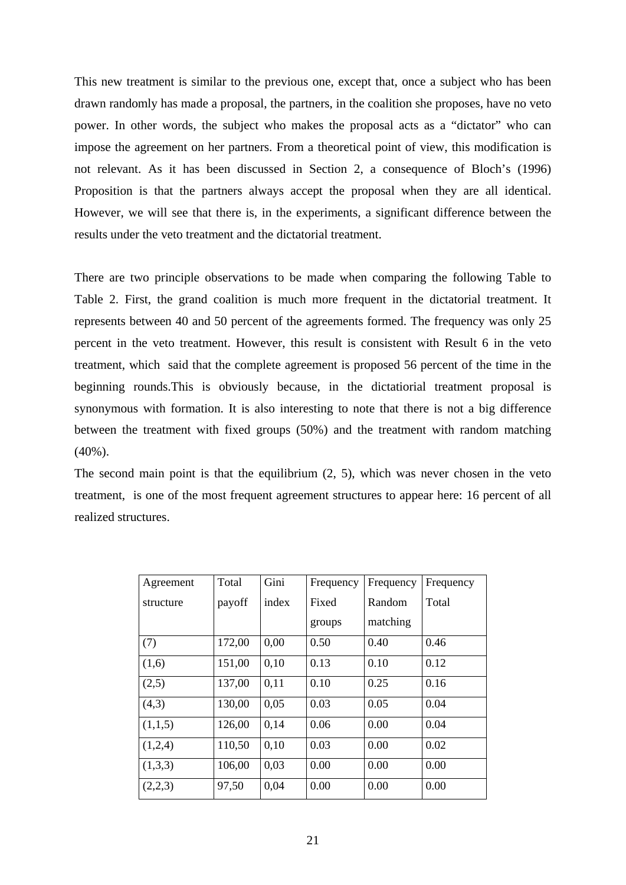This new treatment is similar to the previous one, except that, once a subject who has been drawn randomly has made a proposal, the partners, in the coalition she proposes, have no veto power. In other words, the subject who makes the proposal acts as a "dictator" who can impose the agreement on her partners. From a theoretical point of view, this modification is not relevant. As it has been discussed in Section 2, a consequence of Bloch's (1996) Proposition is that the partners always accept the proposal when they are all identical. However, we will see that there is, in the experiments, a significant difference between the results under the veto treatment and the dictatorial treatment.

There are two principle observations to be made when comparing the following Table to Table 2. First, the grand coalition is much more frequent in the dictatorial treatment. It represents between 40 and 50 percent of the agreements formed. The frequency was only 25 percent in the veto treatment. However, this result is consistent with Result 6 in the veto treatment, which said that the complete agreement is proposed 56 percent of the time in the beginning rounds.This is obviously because, in the dictatiorial treatment proposal is synonymous with formation. It is also interesting to note that there is not a big difference between the treatment with fixed groups (50%) and the treatment with random matching (40%).

The second main point is that the equilibrium (2, 5), which was never chosen in the veto treatment, is one of the most frequent agreement structures to appear here: 16 percent of all realized structures.

| Agreement | Total  | Gini  | Frequency | Frequency | Frequency |
|-----------|--------|-------|-----------|-----------|-----------|
| structure | payoff | index | Fixed     | Random    | Total     |
|           |        |       | groups    | matching  |           |
| (7)       | 172,00 | 0,00  | 0.50      | 0.40      | 0.46      |
| (1,6)     | 151,00 | 0,10  | 0.13      | 0.10      | 0.12      |
| (2,5)     | 137,00 | 0.11  | 0.10      | 0.25      | 0.16      |
| (4,3)     | 130,00 | 0,05  | 0.03      | 0.05      | 0.04      |
| (1,1,5)   | 126,00 | 0,14  | 0.06      | 0.00      | 0.04      |
| (1,2,4)   | 110,50 | 0,10  | 0.03      | 0.00      | 0.02      |
| (1,3,3)   | 106,00 | 0.03  | 0.00      | 0.00      | 0.00      |
| (2,2,3)   | 97,50  | 0,04  | 0.00      | 0.00      | 0.00      |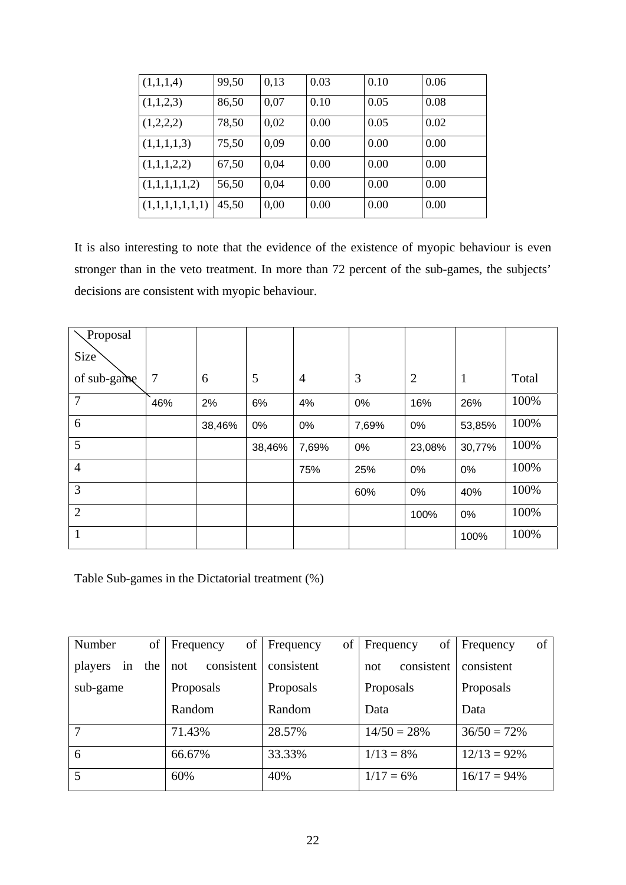| (1,1,1,4)       | 99,50 | 0,13 | 0.03 | 0.10 | 0.06 |
|-----------------|-------|------|------|------|------|
| (1,1,2,3)       | 86,50 | 0.07 | 0.10 | 0.05 | 0.08 |
| (1,2,2,2)       | 78,50 | 0,02 | 0.00 | 0.05 | 0.02 |
| (1,1,1,1,3)     | 75,50 | 0,09 | 0.00 | 0.00 | 0.00 |
| (1,1,1,2,2)     | 67,50 | 0,04 | 0.00 | 0.00 | 0.00 |
| (1,1,1,1,1,2)   | 56,50 | 0.04 | 0.00 | 0.00 | 0.00 |
| (1,1,1,1,1,1,1) | 45,50 | 0,00 | 0.00 | 0.00 | 0.00 |

It is also interesting to note that the evidence of the existence of myopic behaviour is even stronger than in the veto treatment. In more than 72 percent of the sub-games, the subjects' decisions are consistent with myopic behaviour.

| Proposal         |                |        |        |                |       |                |              |       |
|------------------|----------------|--------|--------|----------------|-------|----------------|--------------|-------|
| Size <sup></sup> |                |        |        |                |       |                |              |       |
| of sub-game      | $\overline{7}$ | 6      | 5      | $\overline{4}$ | 3     | $\overline{2}$ | $\mathbf{1}$ | Total |
| $\overline{7}$   | 46%            | 2%     | 6%     | 4%             | 0%    | 16%            | 26%          | 100%  |
| 6                |                | 38,46% | 0%     | 0%             | 7,69% | 0%             | 53,85%       | 100%  |
| 5                |                |        | 38,46% | 7,69%          | 0%    | 23,08%         | 30,77%       | 100%  |
| $\overline{4}$   |                |        |        | 75%            | 25%   | 0%             | 0%           | 100%  |
| 3                |                |        |        |                | 60%   | 0%             | 40%          | 100%  |
| $\overline{2}$   |                |        |        |                |       | 100%           | 0%           | 100%  |
| $\mathbf{1}$     |                |        |        |                |       |                | 100%         | 100%  |

Table Sub-games in the Dictatorial treatment (%)

| of<br>Number         | of<br>Frequency   | of<br>Frequency | of<br>Frequency   | of<br>Frequency |
|----------------------|-------------------|-----------------|-------------------|-----------------|
| the<br>players<br>in | consistent<br>not | consistent      | consistent<br>not | consistent      |
| sub-game             | Proposals         | Proposals       | Proposals         | Proposals       |
|                      | Random            | Random          | Data              | Data            |
| 7                    | 71.43%            | 28.57%          | $14/50 = 28%$     | $36/50 = 72\%$  |
| 6                    | 66.67%            | 33.33%          | $1/13 = 8\%$      | $12/13 = 92\%$  |
| 5                    | 60%               | 40%             | $1/17 = 6\%$      | $16/17 = 94\%$  |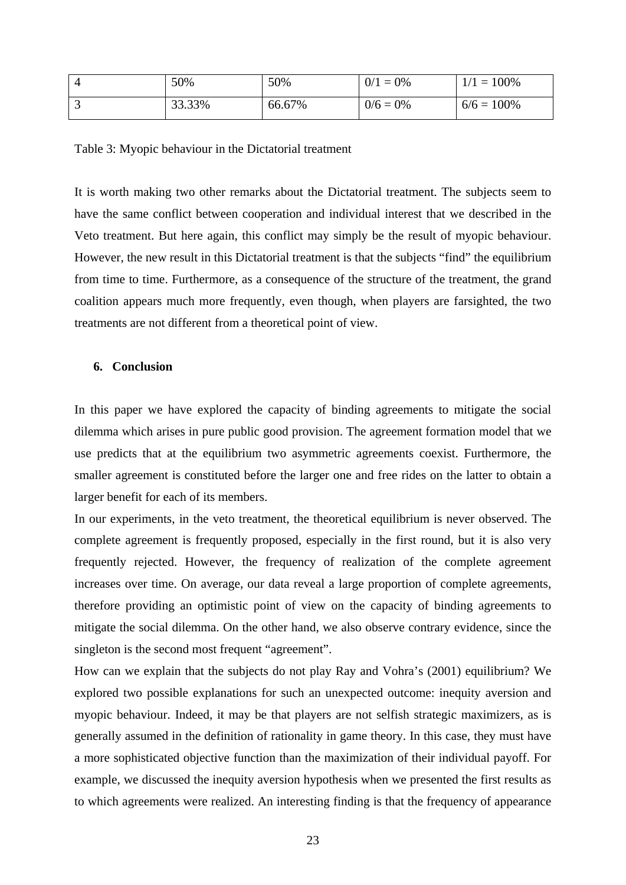| 50%    | 50%    | $0/1 = 0\%$ | $1/1 = 100\%$ |
|--------|--------|-------------|---------------|
| 33.33% | 66.67% | $0/6 = 0\%$ | $6/6 = 100\%$ |

Table 3: Myopic behaviour in the Dictatorial treatment

It is worth making two other remarks about the Dictatorial treatment. The subjects seem to have the same conflict between cooperation and individual interest that we described in the Veto treatment. But here again, this conflict may simply be the result of myopic behaviour. However, the new result in this Dictatorial treatment is that the subjects "find" the equilibrium from time to time. Furthermore, as a consequence of the structure of the treatment, the grand coalition appears much more frequently, even though, when players are farsighted, the two treatments are not different from a theoretical point of view.

# **6. Conclusion**

In this paper we have explored the capacity of binding agreements to mitigate the social dilemma which arises in pure public good provision. The agreement formation model that we use predicts that at the equilibrium two asymmetric agreements coexist. Furthermore, the smaller agreement is constituted before the larger one and free rides on the latter to obtain a larger benefit for each of its members.

In our experiments, in the veto treatment, the theoretical equilibrium is never observed. The complete agreement is frequently proposed, especially in the first round, but it is also very frequently rejected. However, the frequency of realization of the complete agreement increases over time. On average, our data reveal a large proportion of complete agreements, therefore providing an optimistic point of view on the capacity of binding agreements to mitigate the social dilemma. On the other hand, we also observe contrary evidence, since the singleton is the second most frequent "agreement".

How can we explain that the subjects do not play Ray and Vohra's (2001) equilibrium? We explored two possible explanations for such an unexpected outcome: inequity aversion and myopic behaviour. Indeed, it may be that players are not selfish strategic maximizers, as is generally assumed in the definition of rationality in game theory. In this case, they must have a more sophisticated objective function than the maximization of their individual payoff. For example, we discussed the inequity aversion hypothesis when we presented the first results as to which agreements were realized. An interesting finding is that the frequency of appearance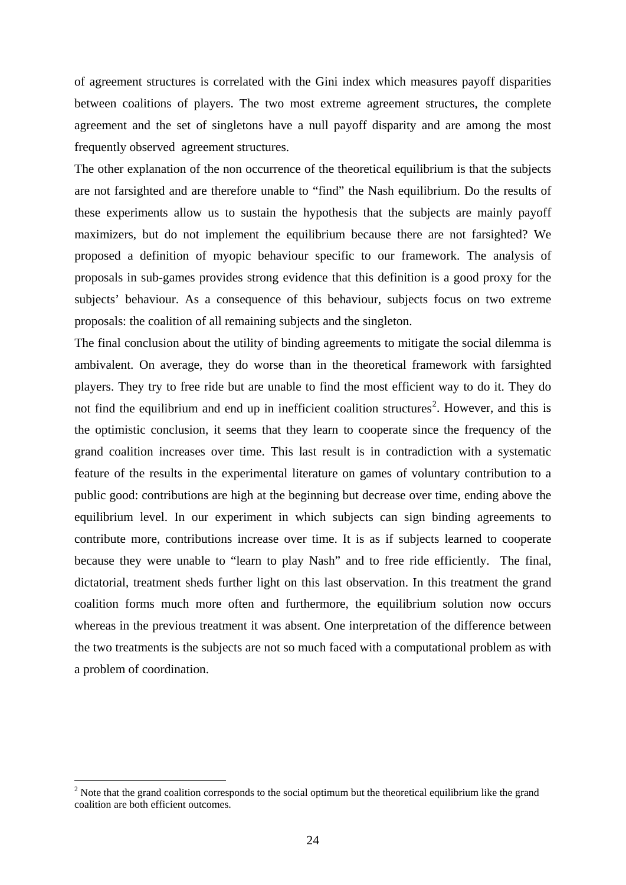of agreement structures is correlated with the Gini index which measures payoff disparities between coalitions of players. The two most extreme agreement structures, the complete agreement and the set of singletons have a null payoff disparity and are among the most frequently observed agreement structures.

The other explanation of the non occurrence of the theoretical equilibrium is that the subjects are not farsighted and are therefore unable to "find" the Nash equilibrium. Do the results of these experiments allow us to sustain the hypothesis that the subjects are mainly payoff maximizers, but do not implement the equilibrium because there are not farsighted? We proposed a definition of myopic behaviour specific to our framework. The analysis of proposals in sub-games provides strong evidence that this definition is a good proxy for the subjects' behaviour. As a consequence of this behaviour, subjects focus on two extreme proposals: the coalition of all remaining subjects and the singleton.

The final conclusion about the utility of binding agreements to mitigate the social dilemma is ambivalent. On average, they do worse than in the theoretical framework with farsighted players. They try to free ride but are unable to find the most efficient way to do it. They do not find the equilibrium and end up in inefficient coalition structures<sup>[2](#page-23-0)</sup>. However, and this is the optimistic conclusion, it seems that they learn to cooperate since the frequency of the grand coalition increases over time. This last result is in contradiction with a systematic feature of the results in the experimental literature on games of voluntary contribution to a public good: contributions are high at the beginning but decrease over time, ending above the equilibrium level. In our experiment in which subjects can sign binding agreements to contribute more, contributions increase over time. It is as if subjects learned to cooperate because they were unable to "learn to play Nash" and to free ride efficiently. The final, dictatorial, treatment sheds further light on this last observation. In this treatment the grand coalition forms much more often and furthermore, the equilibrium solution now occurs whereas in the previous treatment it was absent. One interpretation of the difference between the two treatments is the subjects are not so much faced with a computational problem as with a problem of coordination.

1

<span id="page-23-0"></span> $2$  Note that the grand coalition corresponds to the social optimum but the theoretical equilibrium like the grand coalition are both efficient outcomes.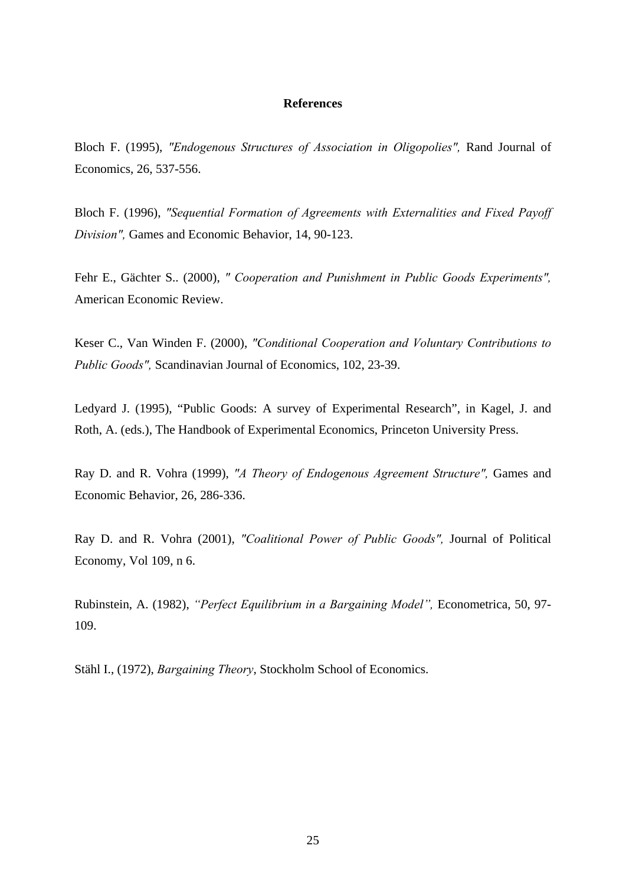#### **References**

Bloch F. (1995), *"Endogenous Structures of Association in Oligopolies",* Rand Journal of Economics, 26, 537-556.

Bloch F. (1996), *"Sequential Formation of Agreements with Externalities and Fixed Payoff Division",* Games and Economic Behavior, 14, 90-123.

Fehr E., Gächter S.. (2000), *" Cooperation and Punishment in Public Goods Experiments",*  American Economic Review.

Keser C., Van Winden F. (2000), *"Conditional Cooperation and Voluntary Contributions to Public Goods",* Scandinavian Journal of Economics, 102, 23-39.

Ledyard J. (1995), "Public Goods: A survey of Experimental Research", in Kagel, J. and Roth, A. (eds.), The Handbook of Experimental Economics, Princeton University Press.

Ray D. and R. Vohra (1999), *"A Theory of Endogenous Agreement Structure",* Games and Economic Behavior, 26, 286-336.

Ray D. and R. Vohra (2001), *"Coalitional Power of Public Goods",* Journal of Political Economy, Vol 109, n 6.

Rubinstein, A. (1982), *"Perfect Equilibrium in a Bargaining Model",* Econometrica, 50, 97- 109.

Stähl I., (1972), *Bargaining Theory*, Stockholm School of Economics.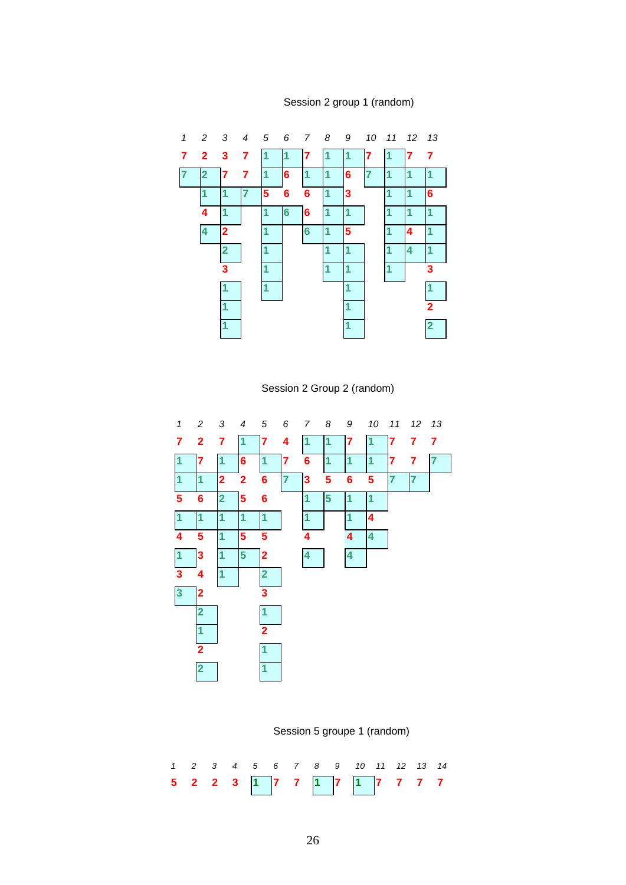



Session 2 Group 2 (random)



Session 5 groupe 1 (random)

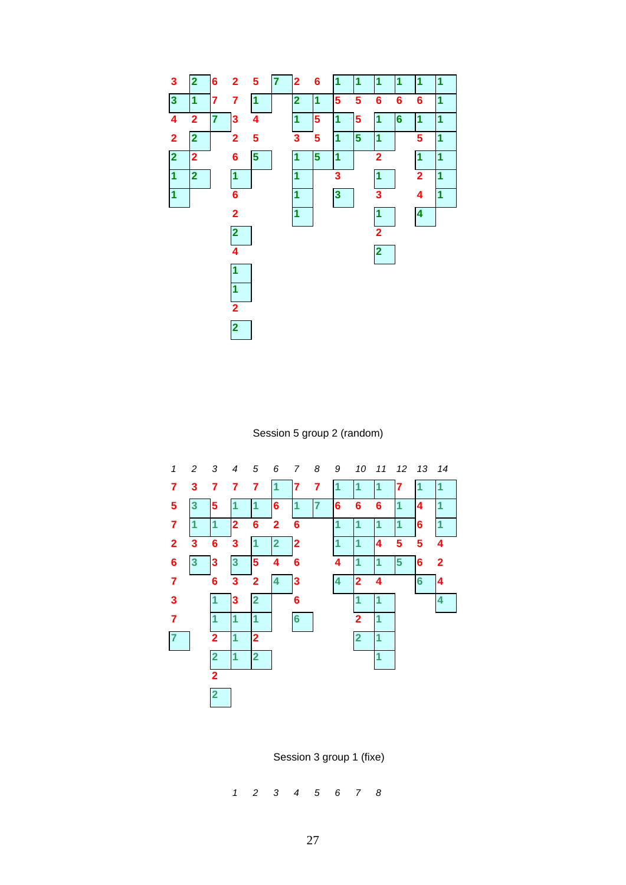

Session 5 group 2 (random)



Session 3 group 1 (fixe)

*1 2 3 4 5 6 7 8*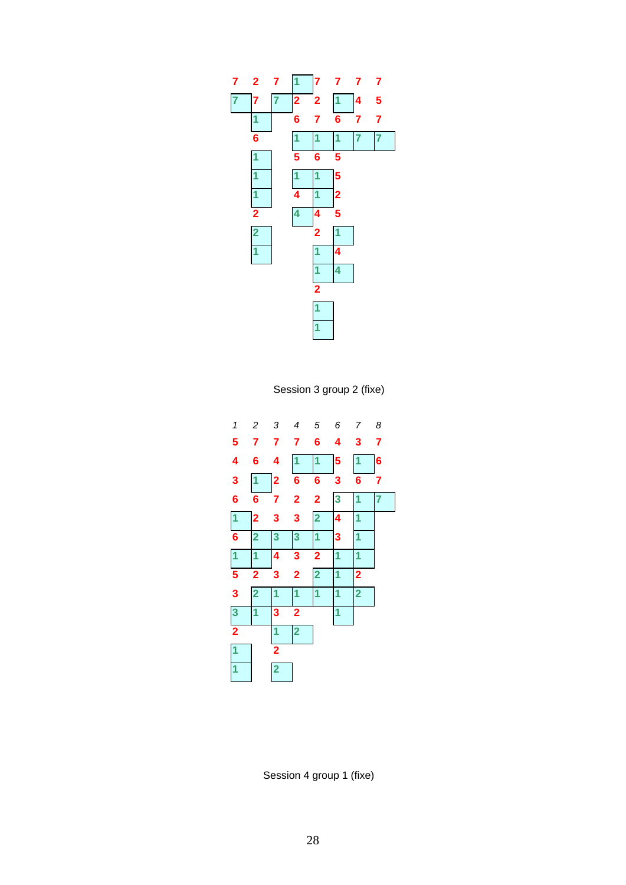

Session 3 group 2 (fixe)



Session 4 group 1 (fixe)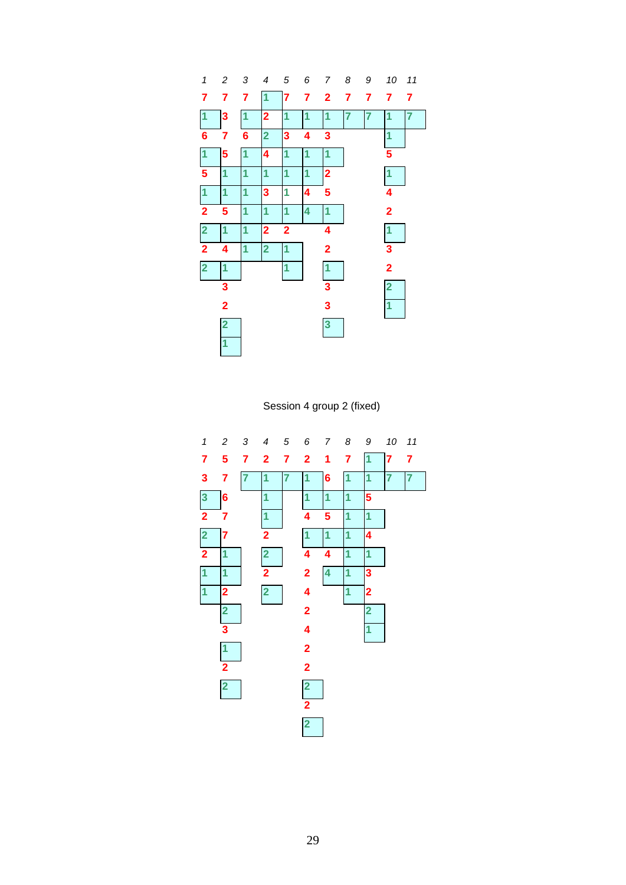

Session 4 group 2 (fixed)

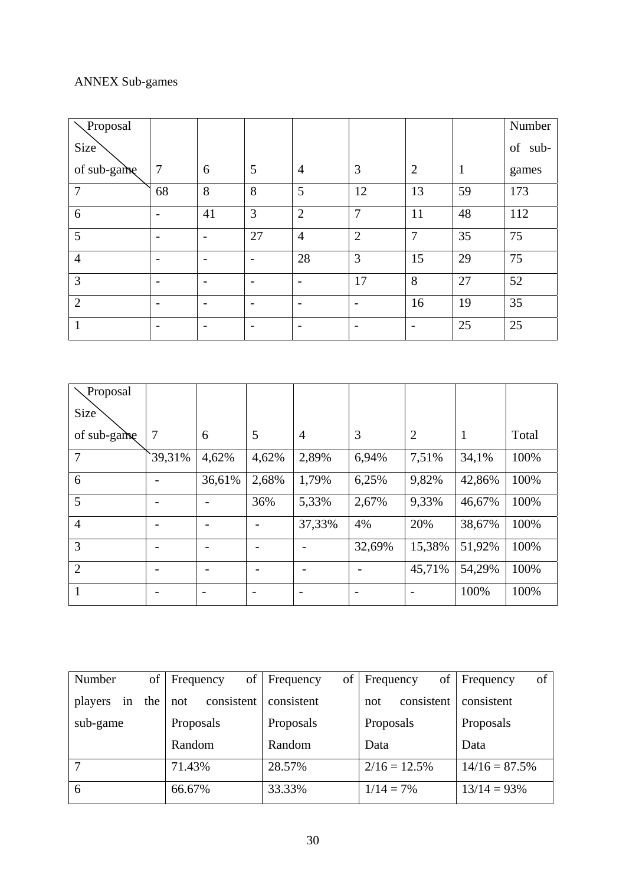# ANNEX Sub-games

| Proposal         |                          |                          |                          |                |                |                          |              | Number     |
|------------------|--------------------------|--------------------------|--------------------------|----------------|----------------|--------------------------|--------------|------------|
| Size <sup></sup> |                          |                          |                          |                |                |                          |              | of<br>sub- |
| of sub-game      | $\overline{7}$           | 6                        | 5                        | $\overline{4}$ | 3              | $\overline{2}$           | $\mathbf{1}$ | games      |
| 7                | 68                       | 8                        | 8                        | 5              | 12             | 13                       | 59           | 173        |
| 6                | $\overline{\phantom{a}}$ | 41                       | 3                        | $\overline{2}$ | $\overline{7}$ | 11                       | 48           | 112        |
| 5                | $\overline{\phantom{0}}$ |                          | 27                       | $\overline{4}$ | $\overline{2}$ | $\overline{7}$           | 35           | 75         |
| $\overline{4}$   | $\overline{\phantom{a}}$ | $\overline{\phantom{0}}$ | $\overline{\phantom{a}}$ | 28             | 3              | 15                       | 29           | 75         |
| 3                |                          | $\overline{\phantom{0}}$ |                          |                | 17             | 8                        | 27           | 52         |
| $\overline{2}$   |                          | $\overline{\phantom{0}}$ |                          |                | -              | 16                       | 19           | 35         |
| 1                |                          | $\overline{\phantom{0}}$ |                          |                |                | $\overline{\phantom{0}}$ | 25           | 25         |

| Proposal         |        |        |       |                |        |                |        |       |
|------------------|--------|--------|-------|----------------|--------|----------------|--------|-------|
| Size <sup></sup> |        |        |       |                |        |                |        |       |
| of sub-game      | 7      | 6      | 5     | $\overline{4}$ | 3      | $\overline{2}$ | 1      | Total |
| $\overline{7}$   | 39,31% | 4,62%  | 4,62% | 2,89%          | 6,94%  | 7,51%          | 34,1%  | 100%  |
| 6                |        | 36,61% | 2,68% | 1,79%          | 6,25%  | 9,82%          | 42,86% | 100%  |
| 5                |        |        | 36%   | 5,33%          | 2,67%  | 9,33%          | 46,67% | 100%  |
| $\overline{4}$   |        |        |       | 37,33%         | 4%     | 20%            | 38,67% | 100%  |
| 3                |        |        |       |                | 32,69% | 15,38%         | 51,92% | 100%  |
| $\overline{2}$   |        |        |       |                |        | 45,71%         | 54,29% | 100%  |
| 1                |        |        |       |                |        |                | 100%   | 100%  |

| Number               | of  <br>of<br><b>Frequency</b> | of<br>Frequency | of<br>Frequency   | Frequency<br>of |
|----------------------|--------------------------------|-----------------|-------------------|-----------------|
| the<br>players<br>in | consistent<br>not              | consistent      | consistent<br>not | consistent      |
| sub-game             | Proposals                      | Proposals       | Proposals         | Proposals       |
|                      | Random                         | Random          | Data              | Data            |
| 7                    | 71.43%                         | 28.57%          | $2/16 = 12.5\%$   | $14/16 = 87.5%$ |
| 6                    | 66.67%                         | 33.33%          | $1/14 = 7\%$      | $13/14 = 93\%$  |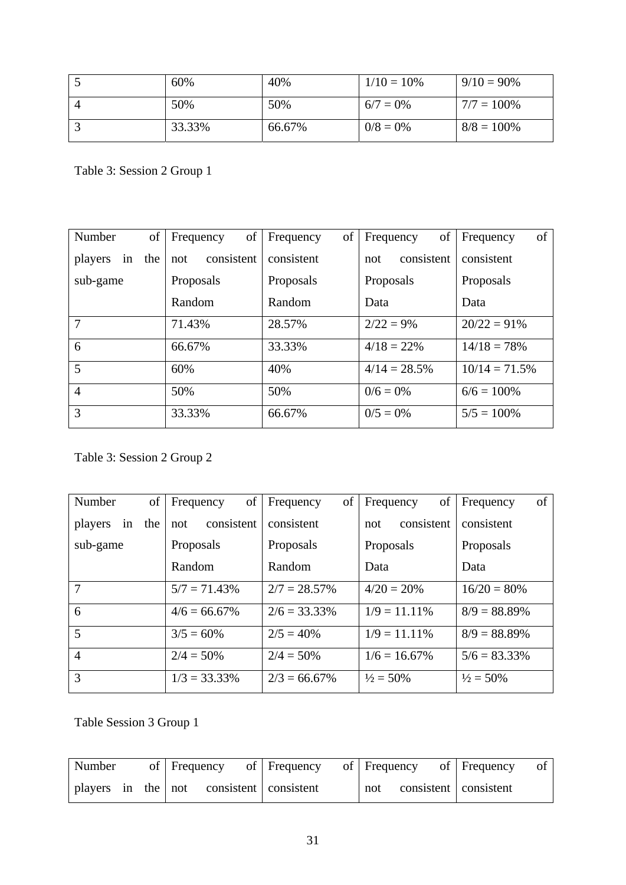| 60%    | 40%    | $1/10 = 10\%$ | $9/10 = 90\%$ |
|--------|--------|---------------|---------------|
| 50%    | 50%    | $6/7 = 0\%$   | $7/7 = 100\%$ |
| 33.33% | 66.67% | $0/8 = 0\%$   | $8/8 = 100\%$ |

Table 3: Session 2 Group 1

| Number         | of  | of<br>Frequency   | of<br>Frequency | of<br>Frequency   | of<br>Frequency |
|----------------|-----|-------------------|-----------------|-------------------|-----------------|
| players<br>in  | the | consistent<br>not | consistent      | consistent<br>not | consistent      |
| sub-game       |     | Proposals         | Proposals       | Proposals         | Proposals       |
|                |     | Random            | Random          | Data              | Data            |
| $\overline{7}$ |     | 71.43%            | 28.57%          | $2/22 = 9\%$      | $20/22 = 91\%$  |
| 6              |     | 66.67%            | 33.33%          | $4/18 = 22\%$     | $14/18 = 78\%$  |
| 5              |     | 60%               | 40%             | $4/14 = 28.5%$    | $10/14 = 71.5%$ |
| $\overline{4}$ |     | 50%               | 50%             | $0/6 = 0\%$       | $6/6 = 100\%$   |
| 3              |     | 33.33%            | 66.67%          | $0/5 = 0\%$       | $5/5 = 100\%$   |

# Table 3: Session 2 Group 2

| Number         | of  | of<br>Frequency   | of<br>Frequency | of<br>Frequency      | Frequency<br>of      |
|----------------|-----|-------------------|-----------------|----------------------|----------------------|
| players<br>in  | the | consistent<br>not | consistent      | consistent<br>not    | consistent           |
| sub-game       |     | Proposals         | Proposals       | Proposals            | Proposals            |
|                |     | Random            | Random          | Data                 | Data                 |
| 7              |     | $5/7 = 71.43\%$   | $2/7 = 28.57\%$ | $4/20 = 20%$         | $16/20 = 80%$        |
| 6              |     | $4/6 = 66.67\%$   | $2/6 = 33.33\%$ | $1/9 = 11.11\%$      | $8/9 = 88.89\%$      |
| 5              |     | $3/5 = 60\%$      | $2/5 = 40\%$    | $1/9 = 11.11\%$      | $8/9 = 88.89\%$      |
| $\overline{4}$ |     | $2/4 = 50\%$      | $2/4 = 50\%$    | $1/6 = 16.67\%$      | $5/6 = 83.33\%$      |
| 3              |     | $1/3 = 33.33\%$   | $2/3 = 66.67\%$ | $\frac{1}{2} = 50\%$ | $\frac{1}{2} = 50\%$ |

Table Session 3 Group 1

| Number |  | of Frequency                                 | of Frequency | of Frequency | of Frequency            |  |
|--------|--|----------------------------------------------|--------------|--------------|-------------------------|--|
|        |  | players in the   not consistent   consistent |              | not          | consistent   consistent |  |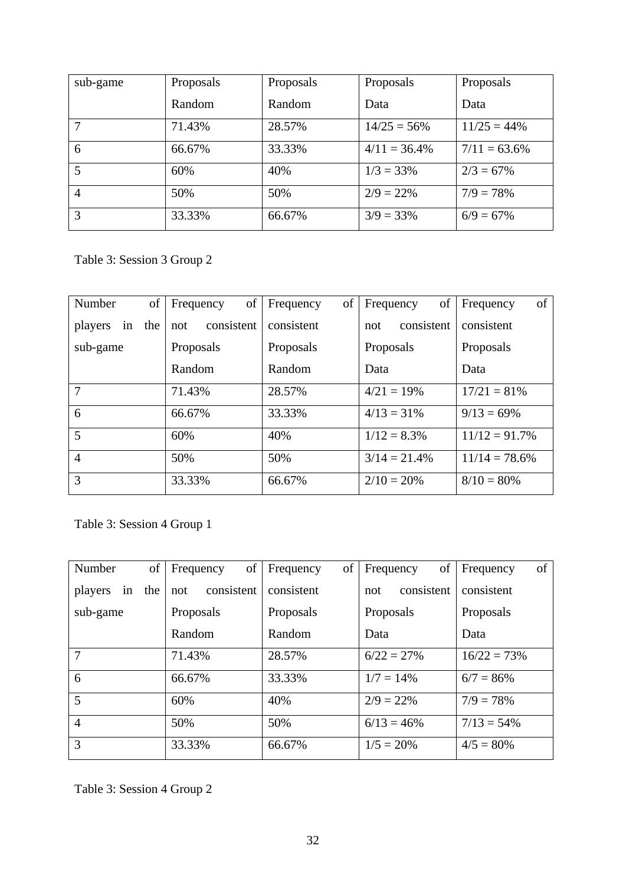| sub-game       | Proposals | Proposals | Proposals       | Proposals       |
|----------------|-----------|-----------|-----------------|-----------------|
|                | Random    | Random    | Data            | Data            |
| 7              | 71.43%    | 28.57%    | $14/25 = 56\%$  | $11/25 = 44\%$  |
| 6              | 66.67%    | 33.33%    | $4/11 = 36.4\%$ | $7/11 = 63.6\%$ |
| 5              | 60%       | 40%       | $1/3 = 33\%$    | $2/3 = 67\%$    |
| $\overline{4}$ | 50%       | 50%       | $2/9 = 22\%$    | $7/9 = 78\%$    |
| 3              | 33.33%    | 66.67%    | $3/9 = 33\%$    | $6/9 = 67\%$    |

Table 3: Session 3 Group 2

| Number         | οf  | of<br>Frequency   | of<br>Frequency | of<br>Frequency   | of<br>Frequency  |
|----------------|-----|-------------------|-----------------|-------------------|------------------|
| players<br>in  | the | consistent<br>not | consistent      | consistent<br>not | consistent       |
| sub-game       |     | Proposals         | Proposals       | Proposals         | Proposals        |
|                |     | Random            | Random          | Data              | Data             |
| $\overline{7}$ |     | 71.43%            | 28.57%          | $4/21 = 19%$      | $17/21 = 81\%$   |
| 6              |     | 66.67%            | 33.33%          | $4/13 = 31\%$     | $9/13 = 69\%$    |
| 5              |     | 60%               | 40%             | $1/12 = 8.3\%$    | $11/12 = 91.7%$  |
| $\overline{4}$ |     | 50%               | 50%             | $3/14 = 21.4%$    | $11/14 = 78.6\%$ |
| 3              |     | 33.33%            | 66.67%          | $2/10 = 20\%$     | $8/10 = 80\%$    |

Table 3: Session 4 Group 1

| of<br>Number      | of<br>Frequency   | of<br>Frequency | of<br>Frequency   | of<br>Frequency |
|-------------------|-------------------|-----------------|-------------------|-----------------|
| in the<br>players | consistent<br>not | consistent      | consistent<br>not | consistent      |
| sub-game          | Proposals         | Proposals       | Proposals         | Proposals       |
|                   | Random            | Random          | Data              | Data            |
| 7                 | 71.43%            | 28.57%          | $6/22 = 27%$      | $16/22 = 73%$   |
| 6                 | 66.67%            | 33.33%          | $1/7 = 14\%$      | $6/7 = 86\%$    |
| $5\overline{)}$   | 60%               | 40%             | $2/9 = 22\%$      | $7/9 = 78\%$    |
| $\overline{4}$    | 50%               | 50%             | $6/13 = 46\%$     | $7/13 = 54\%$   |
| 3                 | 33.33%            | 66.67%          | $1/5 = 20\%$      | $4/5 = 80\%$    |

Table 3: Session 4 Group 2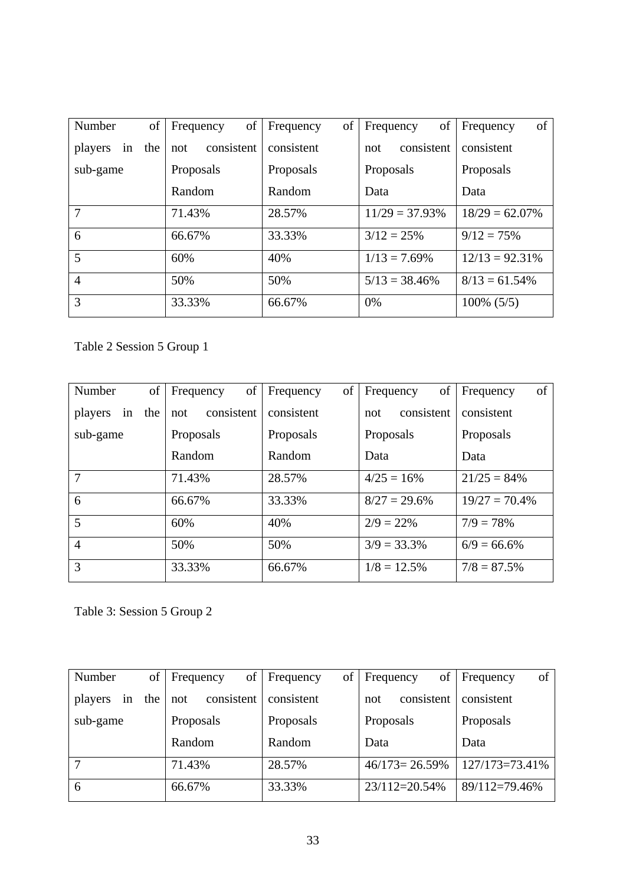| Number         | of  | of<br>Frequency   | of<br>Frequency | of<br>Frequency   | of<br>Frequency   |
|----------------|-----|-------------------|-----------------|-------------------|-------------------|
| players<br>in  | the | consistent<br>not | consistent      | consistent<br>not | consistent        |
| sub-game       |     | Proposals         | Proposals       | Proposals         | Proposals         |
|                |     | Random            | Random          | Data              | Data              |
| 7              |     | 71.43%            | 28.57%          | $11/29 = 37.93\%$ | $18/29 = 62.07\%$ |
| 6              |     | 66.67%            | 33.33%          | $3/12 = 25%$      | $9/12 = 75%$      |
| 5              | 60% |                   | 40%             | $1/13 = 7.69\%$   | $12/13 = 92.31\%$ |
| $\overline{4}$ |     | 50%               | 50%             | $5/13 = 38.46\%$  | $8/13 = 61.54\%$  |
| 3<br>33.33%    |     |                   | 66.67%          | $0\%$             | $100\%$ (5/5)     |

Table 2 Session 5 Group 1

| Number         | of     | of<br>Frequency   | of<br>Frequency | of<br>Frequency   | Frequency<br>of  |
|----------------|--------|-------------------|-----------------|-------------------|------------------|
| players<br>in  | the    | consistent<br>not | consistent      | consistent<br>not | consistent       |
| sub-game       |        | Proposals         | Proposals       | Proposals         | Proposals        |
|                |        | Random            | Random          | Data              | Data             |
| 7              | 71.43% |                   |                 | $4/25 = 16%$      | $21/25 = 84\%$   |
| 6              |        | 66.67%            | 33.33%          | $8/27 = 29.6\%$   | $19/27 = 70.4\%$ |
| 5              | 60%    |                   | 40%             | $2/9 = 22\%$      | $7/9 = 78\%$     |
| $\overline{4}$ |        | 50%               | 50%             | $3/9 = 33.3\%$    | $6/9 = 66.6\%$   |
| 3              | 33.33% |                   |                 | $1/8 = 12.5\%$    | $7/8 = 87.5\%$   |

Table 3: Session 5 Group 2

| Number               | of     | of<br>Frequency   | οf<br>Frequency | of<br><b>Frequency</b> | of<br>Frequency |
|----------------------|--------|-------------------|-----------------|------------------------|-----------------|
| the<br>players<br>in |        | consistent<br>not | consistent      | consistent<br>not      | consistent      |
| sub-game             |        | Proposals         | Proposals       | Proposals              | Proposals       |
|                      | Random |                   | Random          | Data                   | Data            |
| ⇁                    |        | 71.43%            | 28.57%          | $46/173 = 26.59\%$     | 127/173=73.41%  |
| 6                    | 66.67% |                   | 33.33%          | 23/112=20.54%          | 89/112=79.46%   |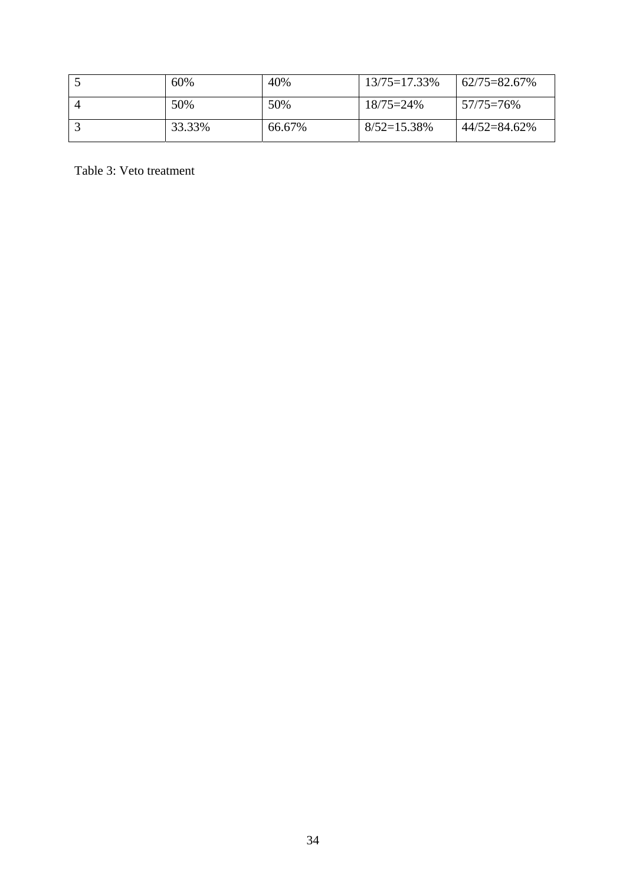| 60%    | 40%    | $13/75 = 17.33\%$ | $62/75 = 82.67\%$ |
|--------|--------|-------------------|-------------------|
| 50%    | 50%    | $18/75=24\%$      | $57/75=76\%$      |
| 33.33% | 66.67% | $8/52=15.38\%$    | 44/52=84.62%      |

Table 3: Veto treatment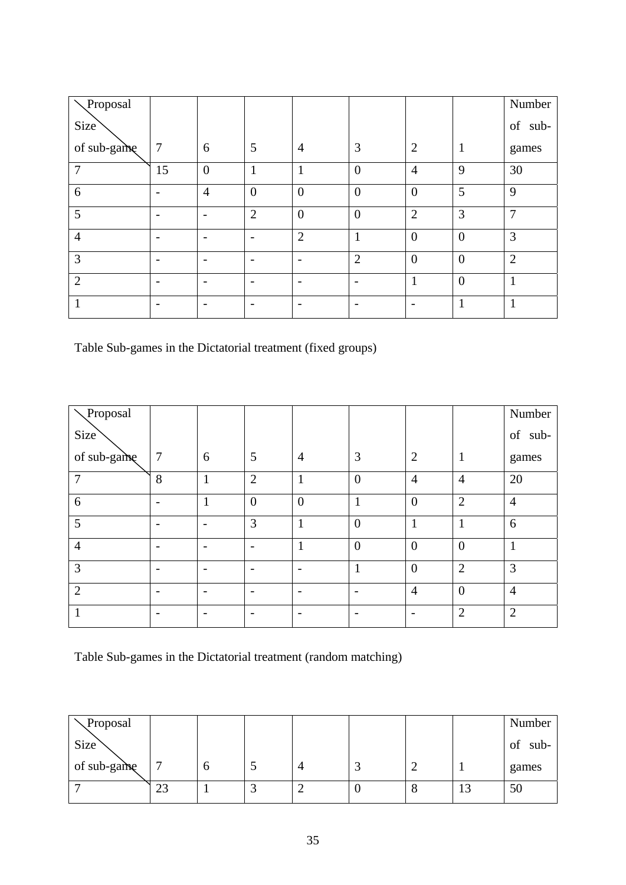| Proposal         |                          |                          |                          |                |                  |                |                | Number                                                                                                     |
|------------------|--------------------------|--------------------------|--------------------------|----------------|------------------|----------------|----------------|------------------------------------------------------------------------------------------------------------|
| Size <sup></sup> |                          |                          |                          |                |                  |                |                | $% \left( \left( \mathcal{A},\mathcal{A}\right) \right) =\left( \mathcal{A},\mathcal{A}\right)$ of<br>sub- |
| of sub-game      | $\overline{7}$           | 6                        | 5                        | $\overline{4}$ | 3                | $\overline{2}$ | $\mathbf{1}$   | games                                                                                                      |
| $\overline{7}$   | 15                       | $\overline{0}$           | $\mathbf{1}$             | и              | $\boldsymbol{0}$ | $\overline{4}$ | 9              | 30                                                                                                         |
| 6                | $\overline{\phantom{0}}$ | $\overline{4}$           | $\boldsymbol{0}$         | $\overline{0}$ | $\boldsymbol{0}$ | $\theta$       | 5              | 9                                                                                                          |
| 5                | $\overline{\phantom{0}}$ | $\overline{\phantom{0}}$ | $\overline{2}$           | $\overline{0}$ | $\boldsymbol{0}$ | $\overline{2}$ | 3              | $\overline{7}$                                                                                             |
| $\overline{4}$   |                          | $\overline{\phantom{a}}$ | $\overline{\phantom{0}}$ | $\overline{2}$ | $\mathbf{1}$     | $\overline{0}$ | $\overline{0}$ | 3                                                                                                          |
| 3                |                          |                          |                          |                | $\overline{2}$   | $\theta$       | $\overline{0}$ | $\overline{2}$                                                                                             |
| $\overline{2}$   | -                        | $\overline{\phantom{0}}$ |                          |                |                  | 1              | $\overline{0}$ | 1                                                                                                          |
|                  |                          |                          |                          |                |                  |                | $\mathbf{1}$   | 1                                                                                                          |

Table Sub-games in the Dictatorial treatment (fixed groups)

| Proposal         |                          |                          |                |                |                  |                          |                | Number         |
|------------------|--------------------------|--------------------------|----------------|----------------|------------------|--------------------------|----------------|----------------|
| Size <sup></sup> |                          |                          |                |                |                  |                          |                | of<br>sub-     |
| of sub-game      | $\overline{7}$           | 6                        | 5              | $\overline{4}$ | 3                | $\overline{2}$           | $\mathbf{1}$   | games          |
| 7                | 8                        |                          | $\overline{2}$ | 1              | $\boldsymbol{0}$ | $\overline{4}$           | $\overline{4}$ | 20             |
| 6                | $\overline{\phantom{0}}$ |                          | $\overline{0}$ | $\overline{0}$ | $\mathbf{1}$     | $\overline{0}$           | $\overline{2}$ | $\overline{4}$ |
| 5                | $\overline{\phantom{0}}$ | $\overline{\phantom{0}}$ | 3              | 1              | $\overline{0}$   | 1                        | $\mathbf{1}$   | 6              |
| $\overline{4}$   | $\overline{\phantom{0}}$ | $\overline{\phantom{0}}$ |                | 1              | $\overline{0}$   | $\theta$                 | $\overline{0}$ | $\mathbf{1}$   |
| 3                |                          |                          |                |                |                  | $\overline{0}$           | $\overline{2}$ | 3              |
| $\overline{2}$   |                          |                          |                |                |                  | $\overline{4}$           | $\overline{0}$ | $\overline{4}$ |
| 1                | $\overline{\phantom{a}}$ |                          |                |                |                  | $\overline{\phantom{a}}$ | $\overline{2}$ | $\overline{2}$ |

Table Sub-games in the Dictatorial treatment (random matching)

| Proposal    |    |   |   |     |   |         | Number     |
|-------------|----|---|---|-----|---|---------|------------|
| Size        |    |   |   |     |   |         | of<br>sub- |
| of sub-game | −  | O | 4 |     | ∽ |         | games      |
|             | 23 |   | _ | w., | О | □<br>IJ | 50         |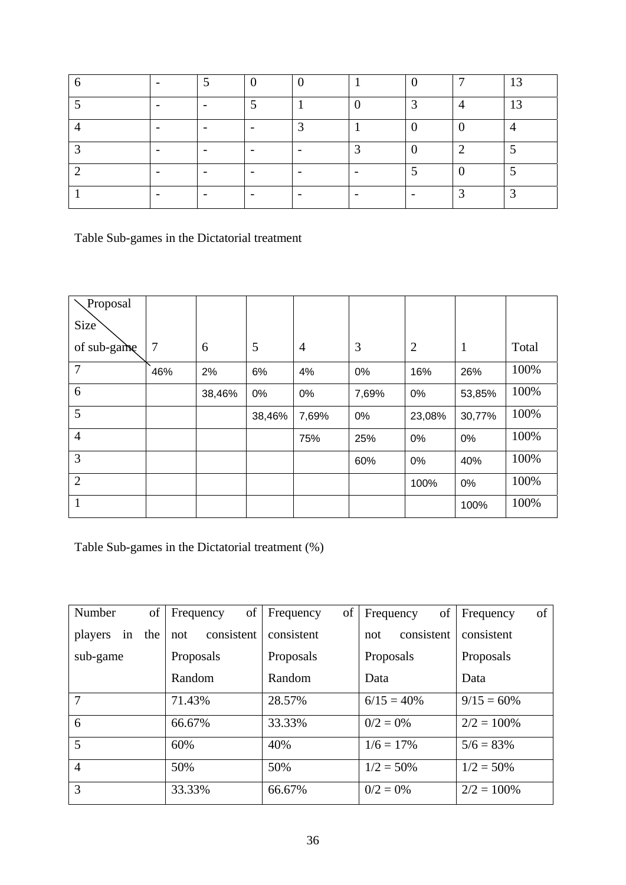|                          | ν. |   |   | 冖 | $\cdot$ 2<br>∟ |
|--------------------------|----|---|---|---|----------------|
| -                        |    |   | ⌒ |   | 13             |
|                          |    | ◠ |   |   |                |
| -                        |    |   |   |   |                |
| $\overline{\phantom{0}}$ |    |   |   |   |                |
| $\overline{\phantom{0}}$ |    |   |   |   |                |

Table Sub-games in the Dictatorial treatment

| Proposal         |                |        |        |       |       |                |              |       |
|------------------|----------------|--------|--------|-------|-------|----------------|--------------|-------|
| Size <sup></sup> |                |        |        |       |       |                |              |       |
| of sub-game      | $\overline{7}$ | 6      | 5      | 4     | 3     | $\overline{2}$ | $\mathbf{1}$ | Total |
| $\overline{7}$   | 46%            | 2%     | 6%     | 4%    | 0%    | 16%            | 26%          | 100%  |
| 6                |                | 38,46% | 0%     | 0%    | 7,69% | 0%             | 53,85%       | 100%  |
| 5                |                |        | 38,46% | 7,69% | 0%    | 23,08%         | 30,77%       | 100%  |
| $\overline{4}$   |                |        |        | 75%   | 25%   | 0%             | 0%           | 100%  |
| 3                |                |        |        |       | 60%   | 0%             | 40%          | 100%  |
| $\overline{2}$   |                |        |        |       |       | 100%           | 0%           | 100%  |
| $\mathbf{1}$     |                |        |        |       |       |                | 100%         | 100%  |

Table Sub-games in the Dictatorial treatment (%)

| Number         | of  | of<br>Frequency   | of  <br>Frequency | of<br>Frequency   | of<br>Frequency |
|----------------|-----|-------------------|-------------------|-------------------|-----------------|
| players<br>in  | the | consistent<br>not | consistent        | consistent<br>not | consistent      |
| sub-game       |     | Proposals         | Proposals         | Proposals         | Proposals       |
|                |     | Random            | Random            | Data              | Data            |
| 7              |     | 71.43%            | 28.57%            | $6/15 = 40\%$     | $9/15 = 60\%$   |
| 6              |     | 66.67%            | 33.33%            | $0/2 = 0\%$       | $2/2 = 100\%$   |
| 5              |     | 60%               | 40%               | $1/6 = 17\%$      | $5/6 = 83\%$    |
| $\overline{4}$ | 50% |                   | 50%               | $1/2 = 50\%$      | $1/2 = 50\%$    |
| 3              |     | 33.33%            | 66.67%            | $0/2 = 0\%$       | $2/2 = 100\%$   |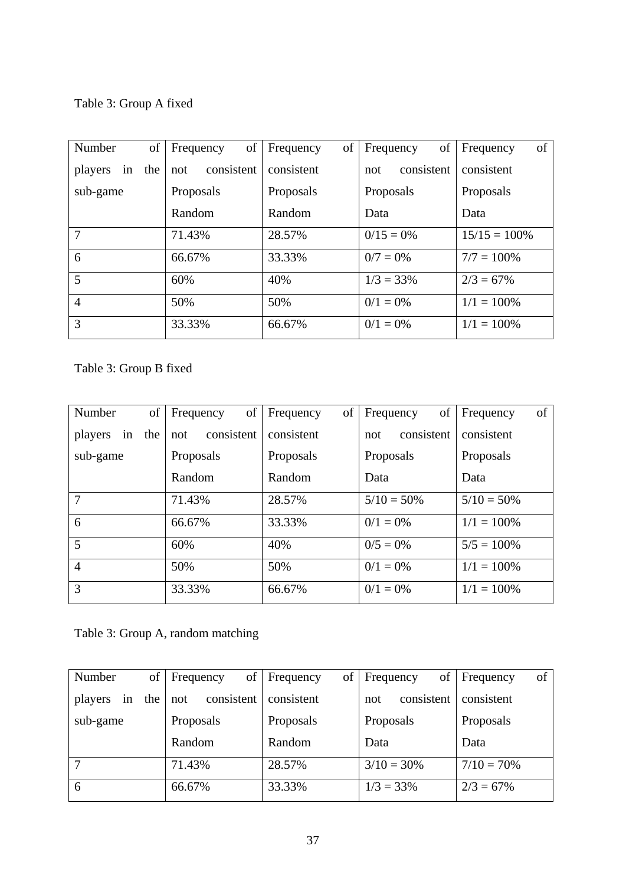Table 3: Group A fixed

| Number         | of  | of<br>Frequency   | of<br>Frequency | of<br>Frequency   | of<br>Frequency |
|----------------|-----|-------------------|-----------------|-------------------|-----------------|
| players<br>in  | the | consistent<br>not | consistent      | consistent<br>not | consistent      |
| sub-game       |     | Proposals         | Proposals       | Proposals         | Proposals       |
|                |     | Random            | Random          | Data              | Data            |
| 7              |     | 71.43%            | 28.57%          | $0/15 = 0\%$      | $15/15 = 100\%$ |
| 6              |     | 66.67%            | 33.33%          | $0/7 = 0\%$       | $7/7 = 100\%$   |
| 5              | 60% |                   | 40%             | $1/3 = 33\%$      | $2/3 = 67\%$    |
| $\overline{4}$ | 50% |                   |                 | $0/1 = 0\%$       | $1/1 = 100\%$   |
| 3              |     | 33.33%            | 66.67%          | $0/1 = 0\%$       | $1/1 = 100\%$   |

Table 3: Group B fixed

| Number         | of     | of<br>Frequency   | of<br>Frequency | of<br>Frequency   | of<br>Frequency |
|----------------|--------|-------------------|-----------------|-------------------|-----------------|
| players<br>in  | the    | consistent<br>not | consistent      | consistent<br>not | consistent      |
| sub-game       |        | Proposals         | Proposals       | Proposals         | Proposals       |
|                |        | Random            | Random          | Data              | Data            |
| $\overline{7}$ |        | 71.43%            | 28.57%          | $5/10 = 50\%$     | $5/10 = 50\%$   |
| 6              |        | 66.67%            | 33.33%          | $0/1 = 0\%$       | $1/1 = 100\%$   |
| 5              | 60%    |                   | 40%             | $0/5 = 0\%$       | $5/5 = 100\%$   |
| $\overline{4}$ |        | 50%               | 50%             | $0/1 = 0\%$       | $1/1 = 100\%$   |
| 3              | 33.33% |                   |                 | $0/1 = 0\%$       | $1/1 = 100\%$   |

Table 3: Group A, random matching

| Number            | of Frequency<br>of | Frequency  | of Frequency      | of<br>of Frequency |
|-------------------|--------------------|------------|-------------------|--------------------|
| in the<br>players | consistent<br>not  | consistent | consistent<br>not | consistent         |
| sub-game          | Proposals          | Proposals  | Proposals         | Proposals          |
|                   | Random             | Random     | Data              | Data               |
| 7                 | 71.43%             | 28.57%     | $3/10 = 30\%$     | $7/10 = 70\%$      |
| 6                 | 66.67%             | 33.33%     | $1/3 = 33\%$      | $2/3 = 67\%$       |